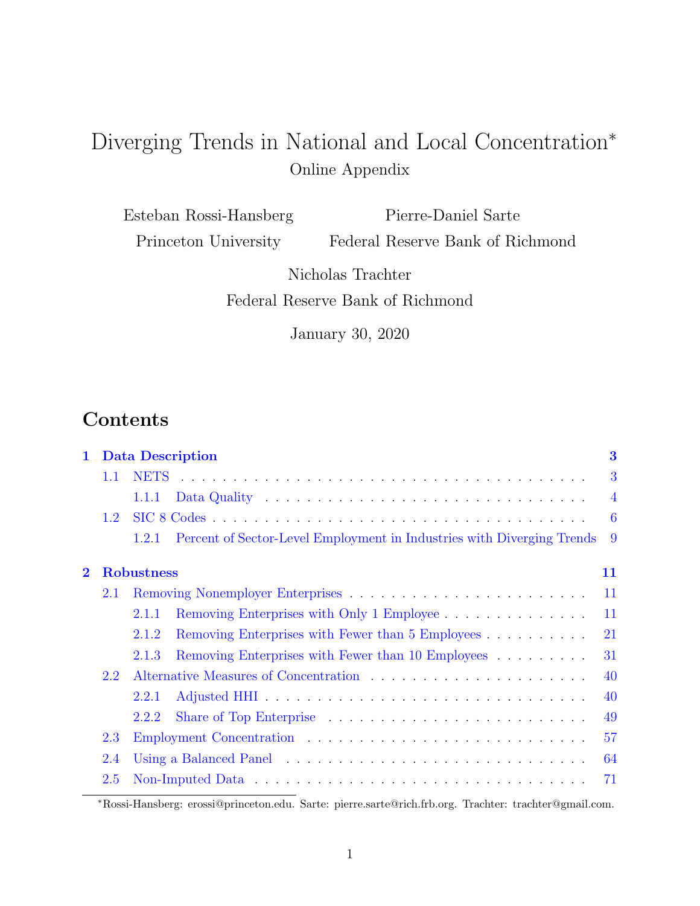# Diverging Trends in National and Local Concentration<sup>∗</sup> Online Appendix

Esteban Rossi-Hansberg Princeton University Pierre-Daniel Sarte Federal Reserve Bank of Richmond

> Nicholas Trachter Federal Reserve Bank of Richmond

> > January 30, 2020

## Contents

| $\mathbf{1}$ |         | <b>Data Description</b> |                                                                                 |  |  |  |                |
|--------------|---------|-------------------------|---------------------------------------------------------------------------------|--|--|--|----------------|
|              | $1.1\,$ |                         |                                                                                 |  |  |  | 3              |
|              |         | 1.1.1                   |                                                                                 |  |  |  | $\overline{4}$ |
|              | 1.2     |                         |                                                                                 |  |  |  | 6              |
|              |         | 1.2.1                   | Percent of Sector-Level Employment in Industries with Diverging Trends          |  |  |  | 9              |
| $\mathbf 2$  |         | <b>Robustness</b>       |                                                                                 |  |  |  | 11             |
| 2.1          |         |                         |                                                                                 |  |  |  | 11             |
|              |         | 2.1.1                   | Removing Enterprises with Only 1 Employee                                       |  |  |  | 11             |
|              |         | 2.1.2                   | Removing Enterprises with Fewer than 5 Employees                                |  |  |  | 21             |
|              |         | 2.1.3                   | Removing Enterprises with Fewer than 10 Employees                               |  |  |  | 31             |
|              | 2.2     |                         |                                                                                 |  |  |  | 40             |
|              |         | 2.2.1                   |                                                                                 |  |  |  | 40             |
|              |         | 2.2.2                   | Share of Top Enterprise $\dots \dots \dots \dots \dots \dots \dots \dots \dots$ |  |  |  | 49             |
|              | 2.3     |                         |                                                                                 |  |  |  | 57             |
|              | 2.4     |                         |                                                                                 |  |  |  | 64             |
|              | 2.5     |                         |                                                                                 |  |  |  | 71             |
|              |         |                         |                                                                                 |  |  |  |                |

<sup>∗</sup>Rossi-Hansberg: erossi@princeton.edu. Sarte: pierre.sarte@rich.frb.org. Trachter: trachter@gmail.com.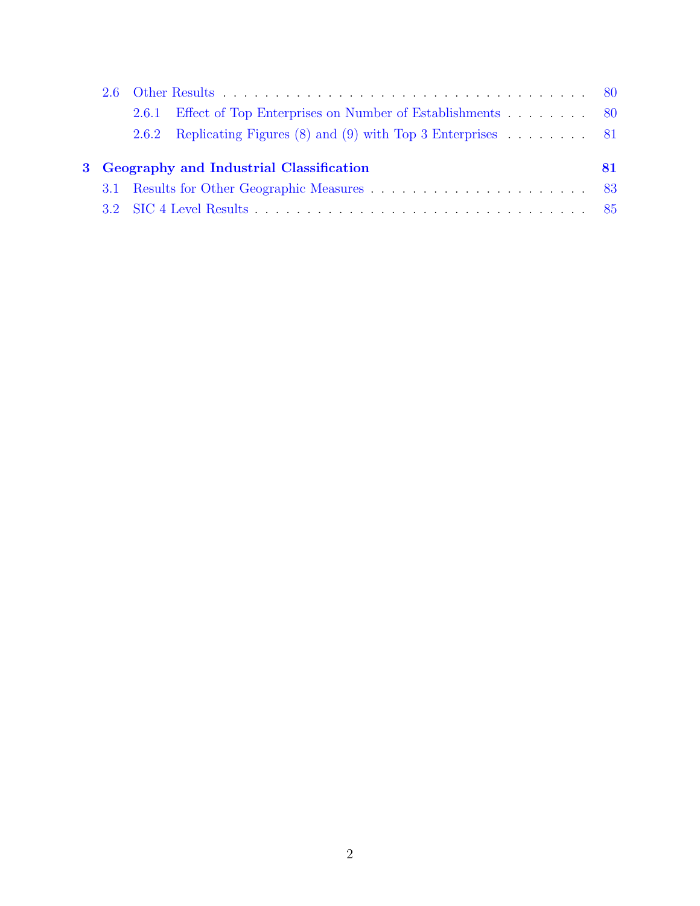|  | 2.6.1 Effect of Top Enterprises on Number of Establishments 80  |     |  |  |  |
|--|-----------------------------------------------------------------|-----|--|--|--|
|  | 2.6.2 Replicating Figures (8) and (9) with Top 3 Enterprises 81 |     |  |  |  |
|  | 3 Geography and Industrial Classification                       | 81. |  |  |  |
|  |                                                                 |     |  |  |  |
|  |                                                                 |     |  |  |  |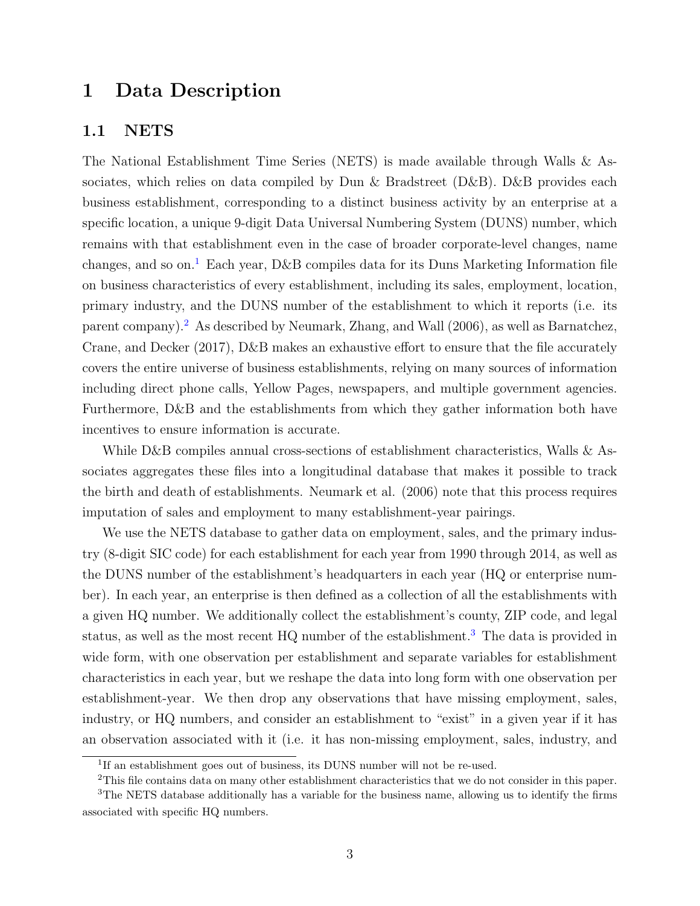## <span id="page-2-0"></span>1 Data Description

### <span id="page-2-1"></span>1.1 NETS

The National Establishment Time Series (NETS) is made available through Walls & Associates, which relies on data compiled by Dun & Bradstreet (D&B). D&B provides each business establishment, corresponding to a distinct business activity by an enterprise at a specific location, a unique 9-digit Data Universal Numbering System (DUNS) number, which remains with that establishment even in the case of broader corporate-level changes, name changes, and so on.<sup>[1](#page-2-2)</sup> Each year, D&B compiles data for its Duns Marketing Information file on business characteristics of every establishment, including its sales, employment, location, primary industry, and the DUNS number of the establishment to which it reports (i.e. its parent company).[2](#page-2-3) As described by Neumark, Zhang, and Wall (2006), as well as Barnatchez, Crane, and Decker (2017), D&B makes an exhaustive effort to ensure that the file accurately covers the entire universe of business establishments, relying on many sources of information including direct phone calls, Yellow Pages, newspapers, and multiple government agencies. Furthermore, D&B and the establishments from which they gather information both have incentives to ensure information is accurate.

While D&B compiles annual cross-sections of establishment characteristics, Walls & Associates aggregates these files into a longitudinal database that makes it possible to track the birth and death of establishments. Neumark et al. (2006) note that this process requires imputation of sales and employment to many establishment-year pairings.

We use the NETS database to gather data on employment, sales, and the primary industry (8-digit SIC code) for each establishment for each year from 1990 through 2014, as well as the DUNS number of the establishment's headquarters in each year (HQ or enterprise number). In each year, an enterprise is then defined as a collection of all the establishments with a given HQ number. We additionally collect the establishment's county, ZIP code, and legal status, as well as the most recent HQ number of the establishment.<sup>[3](#page-2-4)</sup> The data is provided in wide form, with one observation per establishment and separate variables for establishment characteristics in each year, but we reshape the data into long form with one observation per establishment-year. We then drop any observations that have missing employment, sales, industry, or HQ numbers, and consider an establishment to "exist" in a given year if it has an observation associated with it (i.e. it has non-missing employment, sales, industry, and

<span id="page-2-3"></span><span id="page-2-2"></span><sup>&</sup>lt;sup>1</sup>If an establishment goes out of business, its DUNS number will not be re-used.

<span id="page-2-4"></span><sup>&</sup>lt;sup>2</sup>This file contains data on many other establishment characteristics that we do not consider in this paper.

<sup>&</sup>lt;sup>3</sup>The NETS database additionally has a variable for the business name, allowing us to identify the firms associated with specific HQ numbers.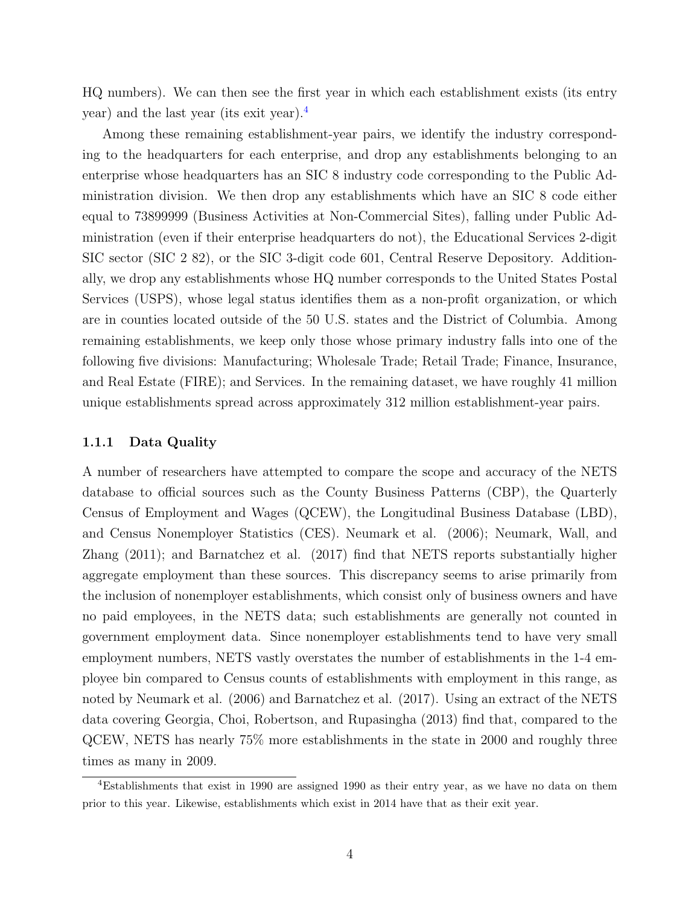HQ numbers). We can then see the first year in which each establishment exists (its entry year) and the last year (its exit year).[4](#page-3-1)

Among these remaining establishment-year pairs, we identify the industry corresponding to the headquarters for each enterprise, and drop any establishments belonging to an enterprise whose headquarters has an SIC 8 industry code corresponding to the Public Administration division. We then drop any establishments which have an SIC 8 code either equal to 73899999 (Business Activities at Non-Commercial Sites), falling under Public Administration (even if their enterprise headquarters do not), the Educational Services 2-digit SIC sector (SIC 2 82), or the SIC 3-digit code 601, Central Reserve Depository. Additionally, we drop any establishments whose HQ number corresponds to the United States Postal Services (USPS), whose legal status identifies them as a non-profit organization, or which are in counties located outside of the 50 U.S. states and the District of Columbia. Among remaining establishments, we keep only those whose primary industry falls into one of the following five divisions: Manufacturing; Wholesale Trade; Retail Trade; Finance, Insurance, and Real Estate (FIRE); and Services. In the remaining dataset, we have roughly 41 million unique establishments spread across approximately 312 million establishment-year pairs.

#### <span id="page-3-0"></span>1.1.1 Data Quality

A number of researchers have attempted to compare the scope and accuracy of the NETS database to official sources such as the County Business Patterns (CBP), the Quarterly Census of Employment and Wages (QCEW), the Longitudinal Business Database (LBD), and Census Nonemployer Statistics (CES). Neumark et al. (2006); Neumark, Wall, and Zhang (2011); and Barnatchez et al. (2017) find that NETS reports substantially higher aggregate employment than these sources. This discrepancy seems to arise primarily from the inclusion of nonemployer establishments, which consist only of business owners and have no paid employees, in the NETS data; such establishments are generally not counted in government employment data. Since nonemployer establishments tend to have very small employment numbers, NETS vastly overstates the number of establishments in the 1-4 employee bin compared to Census counts of establishments with employment in this range, as noted by Neumark et al. (2006) and Barnatchez et al. (2017). Using an extract of the NETS data covering Georgia, Choi, Robertson, and Rupasingha (2013) find that, compared to the QCEW, NETS has nearly 75% more establishments in the state in 2000 and roughly three times as many in 2009.

<span id="page-3-1"></span><sup>4</sup>Establishments that exist in 1990 are assigned 1990 as their entry year, as we have no data on them prior to this year. Likewise, establishments which exist in 2014 have that as their exit year.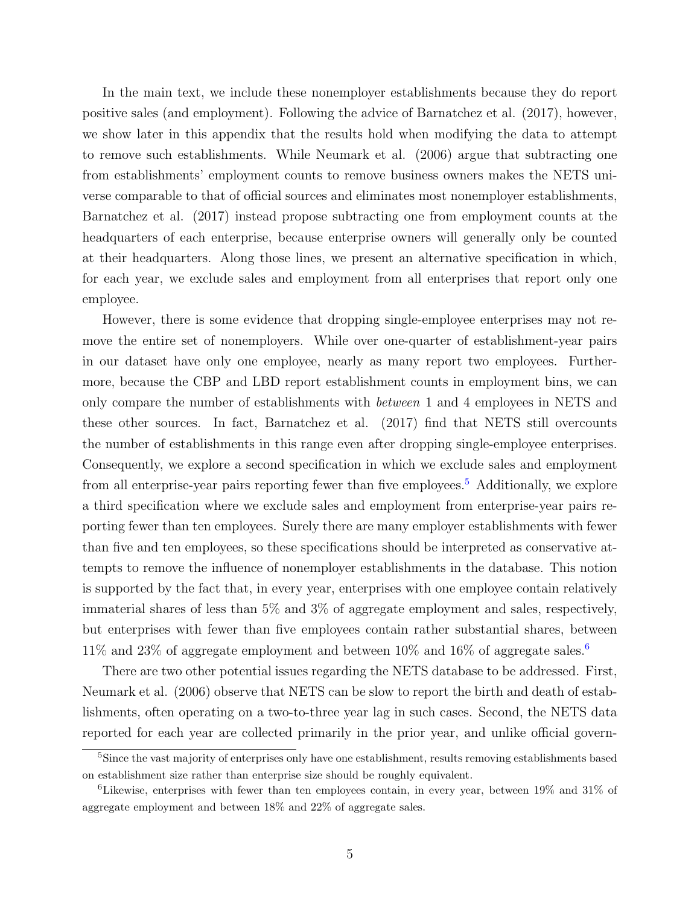In the main text, we include these nonemployer establishments because they do report positive sales (and employment). Following the advice of Barnatchez et al. (2017), however, we show later in this appendix that the results hold when modifying the data to attempt to remove such establishments. While Neumark et al. (2006) argue that subtracting one from establishments' employment counts to remove business owners makes the NETS universe comparable to that of official sources and eliminates most nonemployer establishments, Barnatchez et al. (2017) instead propose subtracting one from employment counts at the headquarters of each enterprise, because enterprise owners will generally only be counted at their headquarters. Along those lines, we present an alternative specification in which, for each year, we exclude sales and employment from all enterprises that report only one employee.

However, there is some evidence that dropping single-employee enterprises may not remove the entire set of nonemployers. While over one-quarter of establishment-year pairs in our dataset have only one employee, nearly as many report two employees. Furthermore, because the CBP and LBD report establishment counts in employment bins, we can only compare the number of establishments with between 1 and 4 employees in NETS and these other sources. In fact, Barnatchez et al. (2017) find that NETS still overcounts the number of establishments in this range even after dropping single-employee enterprises. Consequently, we explore a second specification in which we exclude sales and employment from all enterprise-year pairs reporting fewer than five employees.<sup>[5](#page-4-0)</sup> Additionally, we explore a third specification where we exclude sales and employment from enterprise-year pairs reporting fewer than ten employees. Surely there are many employer establishments with fewer than five and ten employees, so these specifications should be interpreted as conservative attempts to remove the influence of nonemployer establishments in the database. This notion is supported by the fact that, in every year, enterprises with one employee contain relatively immaterial shares of less than 5% and 3% of aggregate employment and sales, respectively, but enterprises with fewer than five employees contain rather substantial shares, between  $11\%$  and  $23\%$  of aggregate employment and between  $10\%$  and  $16\%$  $16\%$  $16\%$  of aggregate sales.<sup>6</sup>

There are two other potential issues regarding the NETS database to be addressed. First, Neumark et al. (2006) observe that NETS can be slow to report the birth and death of establishments, often operating on a two-to-three year lag in such cases. Second, the NETS data reported for each year are collected primarily in the prior year, and unlike official govern-

<span id="page-4-0"></span><sup>&</sup>lt;sup>5</sup>Since the vast majority of enterprises only have one establishment, results removing establishments based on establishment size rather than enterprise size should be roughly equivalent.

<span id="page-4-1"></span> ${}^6$ Likewise, enterprises with fewer than ten employees contain, in every year, between 19% and 31% of aggregate employment and between 18% and 22% of aggregate sales.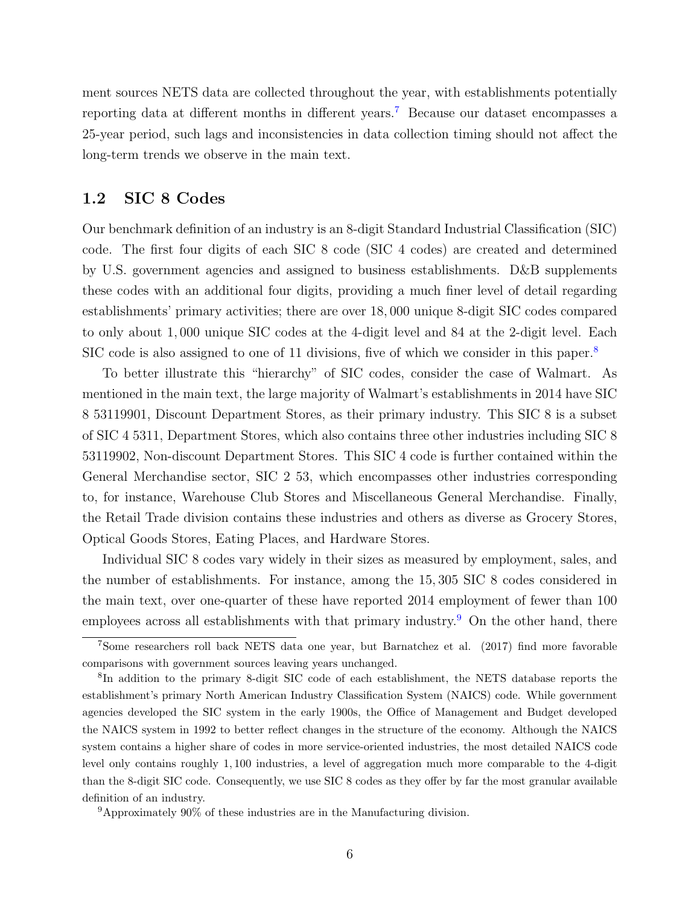ment sources NETS data are collected throughout the year, with establishments potentially reporting data at different months in different years.[7](#page-5-1) Because our dataset encompasses a 25-year period, such lags and inconsistencies in data collection timing should not affect the long-term trends we observe in the main text.

### <span id="page-5-0"></span>1.2 SIC 8 Codes

Our benchmark definition of an industry is an 8-digit Standard Industrial Classification (SIC) code. The first four digits of each SIC 8 code (SIC 4 codes) are created and determined by U.S. government agencies and assigned to business establishments. D&B supplements these codes with an additional four digits, providing a much finer level of detail regarding establishments' primary activities; there are over 18, 000 unique 8-digit SIC codes compared to only about 1, 000 unique SIC codes at the 4-digit level and 84 at the 2-digit level. Each SIC code is also assigned to one of 11 divisions, five of which we consider in this paper.<sup>[8](#page-5-2)</sup>

To better illustrate this "hierarchy" of SIC codes, consider the case of Walmart. As mentioned in the main text, the large majority of Walmart's establishments in 2014 have SIC 8 53119901, Discount Department Stores, as their primary industry. This SIC 8 is a subset of SIC 4 5311, Department Stores, which also contains three other industries including SIC 8 53119902, Non-discount Department Stores. This SIC 4 code is further contained within the General Merchandise sector, SIC 2 53, which encompasses other industries corresponding to, for instance, Warehouse Club Stores and Miscellaneous General Merchandise. Finally, the Retail Trade division contains these industries and others as diverse as Grocery Stores, Optical Goods Stores, Eating Places, and Hardware Stores.

Individual SIC 8 codes vary widely in their sizes as measured by employment, sales, and the number of establishments. For instance, among the 15, 305 SIC 8 codes considered in the main text, over one-quarter of these have reported 2014 employment of fewer than 100 employees across all establishments with that primary industry.<sup>[9](#page-5-3)</sup> On the other hand, there

<span id="page-5-1"></span><sup>7</sup>Some researchers roll back NETS data one year, but Barnatchez et al. (2017) find more favorable comparisons with government sources leaving years unchanged.

<span id="page-5-2"></span><sup>&</sup>lt;sup>8</sup>In addition to the primary 8-digit SIC code of each establishment, the NETS database reports the establishment's primary North American Industry Classification System (NAICS) code. While government agencies developed the SIC system in the early 1900s, the Office of Management and Budget developed the NAICS system in 1992 to better reflect changes in the structure of the economy. Although the NAICS system contains a higher share of codes in more service-oriented industries, the most detailed NAICS code level only contains roughly 1, 100 industries, a level of aggregation much more comparable to the 4-digit than the 8-digit SIC code. Consequently, we use SIC 8 codes as they offer by far the most granular available definition of an industry.

<span id="page-5-3"></span><sup>9</sup>Approximately 90% of these industries are in the Manufacturing division.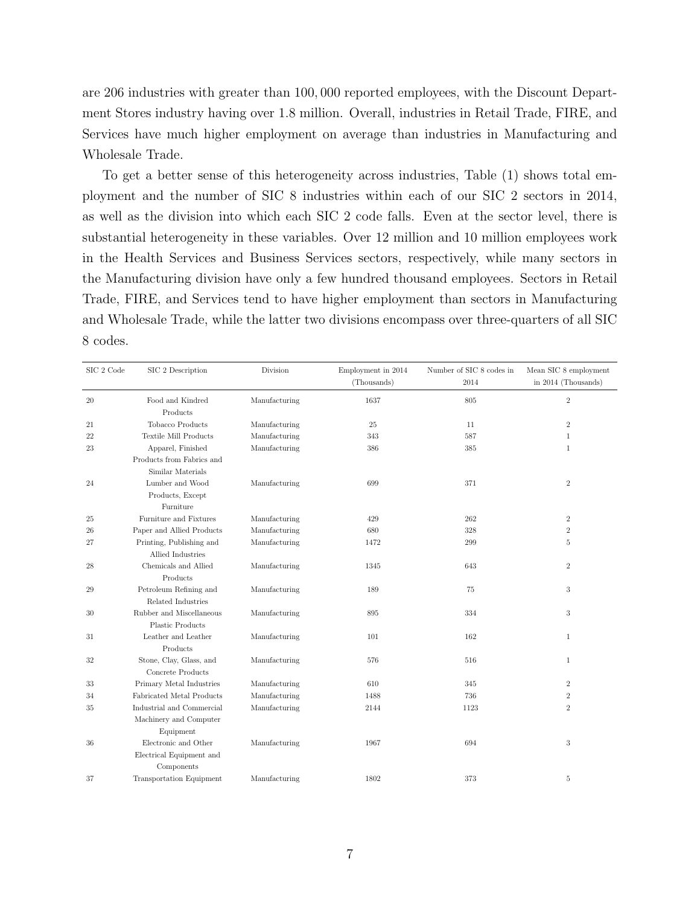are 206 industries with greater than 100, 000 reported employees, with the Discount Department Stores industry having over 1.8 million. Overall, industries in Retail Trade, FIRE, and Services have much higher employment on average than industries in Manufacturing and Wholesale Trade.

To get a better sense of this heterogeneity across industries, Table (1) shows total employment and the number of SIC 8 industries within each of our SIC 2 sectors in 2014, as well as the division into which each SIC 2 code falls. Even at the sector level, there is substantial heterogeneity in these variables. Over 12 million and 10 million employees work in the Health Services and Business Services sectors, respectively, while many sectors in the Manufacturing division have only a few hundred thousand employees. Sectors in Retail Trade, FIRE, and Services tend to have higher employment than sectors in Manufacturing and Wholesale Trade, while the latter two divisions encompass over three-quarters of all SIC 8 codes.

| SIC 2 Code | SIC 2 Description                                              | Division      | Employment in 2014<br>(Thousands) | Number of SIC 8 codes in<br>2014 | Mean SIC 8 employment<br>in 2014 (Thousands) |
|------------|----------------------------------------------------------------|---------------|-----------------------------------|----------------------------------|----------------------------------------------|
| 20         | Food and Kindred<br>Products                                   | Manufacturing | 1637                              | 805                              | $\,2$                                        |
| 21         | Tobacco Products                                               | Manufacturing | 25                                | 11                               | $\sqrt{2}$                                   |
| 22         | <b>Textile Mill Products</b>                                   | Manufacturing | 343                               | 587                              | $\mathbf{1}$                                 |
| 23         | Apparel, Finished                                              | Manufacturing | 386                               | 385                              | $\mathbf{1}$                                 |
|            | Products from Fabrics and<br>Similar Materials                 |               |                                   |                                  |                                              |
| 24         | Lumber and Wood                                                | Manufacturing | 699                               | 371                              | $\sqrt{2}$                                   |
|            | Products, Except<br>Furniture                                  |               |                                   |                                  |                                              |
| 25         | Furniture and Fixtures                                         | Manufacturing | 429                               | 262                              | $\sqrt{2}$                                   |
| 26         | Paper and Allied Products                                      | Manufacturing | 680                               | 328                              | $\,2$                                        |
| 27         | Printing, Publishing and<br>Allied Industries                  | Manufacturing | 1472                              | 299                              | 5                                            |
| 28         | Chemicals and Allied<br>Products                               | Manufacturing | 1345                              | 643                              | $\sqrt{2}$                                   |
| 29         | Petroleum Refining and<br>Related Industries                   | Manufacturing | 189                               | 75                               | $\sqrt{3}$                                   |
| $30\,$     | Rubber and Miscellaneous<br>Plastic Products                   | Manufacturing | 895                               | 334                              | $\sqrt{3}$                                   |
| 31         | Leather and Leather<br>Products                                | Manufacturing | 101                               | 162                              | $\mathbf{1}$                                 |
| 32         | Stone, Clay, Glass, and<br>Concrete Products                   | Manufacturing | 576                               | 516                              | $\mathbf{1}$                                 |
| 33         | Primary Metal Industries                                       | Manufacturing | 610                               | 345                              | $\,2$                                        |
| 34         | Fabricated Metal Products                                      | Manufacturing | 1488                              | 736                              | $\,2$                                        |
| $35\,$     | Industrial and Commercial                                      | Manufacturing | 2144                              | 1123                             | $\,2$                                        |
|            | Machinery and Computer<br>Equipment                            |               |                                   |                                  |                                              |
| 36         | Electronic and Other<br>Electrical Equipment and<br>Components | Manufacturing | 1967                              | 694                              | $\,3$                                        |
| 37         | <b>Transportation Equipment</b>                                | Manufacturing | 1802                              | 373                              | $5\,$                                        |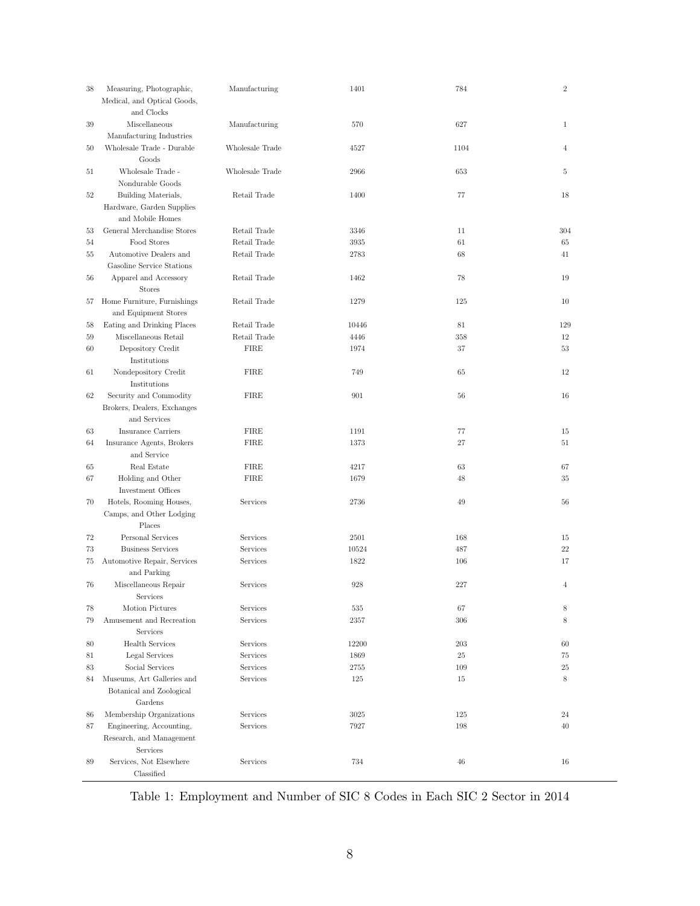| 38 | Measuring, Photographic,<br>Medical, and Optical Goods,<br>and Clocks | Manufacturing                | 1401          | 784        | $\overline{2}$ |
|----|-----------------------------------------------------------------------|------------------------------|---------------|------------|----------------|
| 39 | Miscellaneous<br>Manufacturing Industries                             | Manufacturing                | 570           | 627        | $\mathbf{1}$   |
| 50 | Wholesale Trade - Durable<br>Goods                                    | Wholesale Trade              | 4527          | 1104       | $\overline{4}$ |
| 51 | Wholesale Trade -<br>Nondurable Goods                                 | Wholesale Trade              | 2966          | 653        | 5              |
| 52 | Building Materials,<br>Hardware, Garden Supplies                      | Retail Trade                 | 1400          | 77         | 18             |
|    | and Mobile Homes<br>General Merchandise Stores                        |                              |               |            |                |
| 53 | Food Stores                                                           | Retail Trade<br>Retail Trade | 3346          | 11<br>61   | 304<br>65      |
| 54 | Automotive Dealers and                                                |                              | 3935          |            |                |
| 55 | Gasoline Service Stations                                             | Retail Trade                 | 2783          | 68         | 41             |
|    | Apparel and Accessory                                                 | Retail Trade                 | 1462          | 78         | 19             |
| 56 | <b>Stores</b>                                                         |                              |               |            |                |
| 57 | Home Furniture, Furnishings<br>and Equipment Stores                   | Retail Trade                 | 1279          | 125        | 10             |
| 58 | Eating and Drinking Places                                            | Retail Trade                 | 10446         | 81         | 129            |
| 59 | Miscellaneous Retail                                                  | Retail Trade                 | 4446          | 358        | 12             |
| 60 | Depository Credit<br>Institutions                                     | <b>FIRE</b>                  | 1974          | 37         | 53             |
| 61 | Nondepository Credit<br>Institutions                                  | <b>FIRE</b>                  | 749           | 65         | 12             |
| 62 | Security and Commodity<br>Brokers, Dealers, Exchanges<br>and Services | <b>FIRE</b>                  | 901           | 56         | 16             |
| 63 | <b>Insurance Carriers</b>                                             | <b>FIRE</b>                  | 1191          | 77         | 15             |
| 64 | Insurance Agents, Brokers                                             | <b>FIRE</b>                  | 1373          | 27         | 51             |
|    | and Service                                                           |                              |               |            |                |
| 65 | Real Estate                                                           | <b>FIRE</b>                  | 4217          | 63         | 67             |
| 67 | Holding and Other<br>Investment Offices                               | <b>FIRE</b>                  | 1679          | 48         | 35             |
| 70 | Hotels, Rooming Houses,<br>Camps, and Other Lodging                   | Services                     | 2736          | 49         | 56             |
|    | Places                                                                | Services                     |               |            |                |
| 72 | Personal Services                                                     |                              | 2501          | 168        | 15             |
| 73 | <b>Business Services</b>                                              | Services<br>Services         | 10524<br>1822 | 487<br>106 | 22<br>17       |
| 75 | Automotive Repair, Services<br>and Parking                            |                              |               |            |                |
| 76 | Miscellaneous Repair<br>Services                                      | Services                     | 928           | 227        | $\overline{4}$ |
| 78 | Motion Pictures                                                       | Services                     | 535           | 67         | 8              |
| 79 | Amusement and Recreation<br><b>Services</b>                           | Services                     | 2357          | 306        | 8              |
| 80 | <b>Health Services</b>                                                | Services                     | 12200         | 203        | 60             |
| 81 | Legal Services                                                        | Services                     | 1869          | 25         | 75             |
| 83 | Social Services                                                       | Services                     | 2755          | 109        | 25             |
| 84 | Museums, Art Galleries and                                            | Services                     | 125           | 15         | 8              |
|    | Botanical and Zoological<br>Gardens                                   |                              |               |            |                |
| 86 | Membership Organizations                                              | Services                     | 3025          | 125        | 24             |
| 87 | Engineering, Accounting,                                              | Services                     | 7927          | 198        | 40             |
|    | Research, and Management<br>Services                                  |                              |               |            |                |
| 89 | Services, Not Elsewhere<br>Classified                                 | Services                     | 734           | 46         | 16             |

Table 1: Employment and Number of SIC 8 Codes in Each SIC 2 Sector in 2014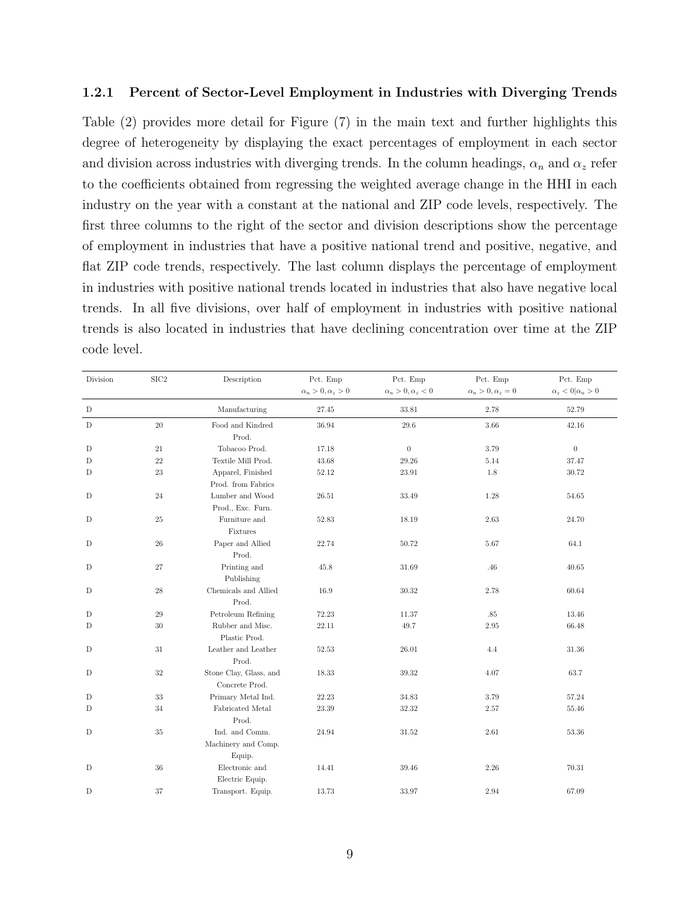#### <span id="page-8-0"></span>1.2.1 Percent of Sector-Level Employment in Industries with Diverging Trends

Table (2) provides more detail for Figure (7) in the main text and further highlights this degree of heterogeneity by displaying the exact percentages of employment in each sector and division across industries with diverging trends. In the column headings,  $\alpha_n$  and  $\alpha_z$  refer to the coefficients obtained from regressing the weighted average change in the HHI in each industry on the year with a constant at the national and ZIP code levels, respectively. The first three columns to the right of the sector and division descriptions show the percentage of employment in industries that have a positive national trend and positive, negative, and flat ZIP code trends, respectively. The last column displays the percentage of employment in industries with positive national trends located in industries that also have negative local trends. In all five divisions, over half of employment in industries with positive national trends is also located in industries that have declining concentration over time at the ZIP code level.

| Division    | $\rm SIC2$  | Description                              | Pct. Emp                     | Pct. Emp                 | Pct. Emp                 | Pct. Emp                      |
|-------------|-------------|------------------------------------------|------------------------------|--------------------------|--------------------------|-------------------------------|
|             |             |                                          | $\alpha_n > 0, \alpha_z > 0$ | $\alpha_n>0, \alpha_z<0$ | $\alpha_n>0, \alpha_z=0$ | $\alpha_z < 0   \alpha_n > 0$ |
| $\mathbf D$ |             | Manufacturing                            | 27.45                        | 33.81                    | 2.78                     | 52.79                         |
| $\mathbf D$ | 20          | Food and Kindred<br>Prod.                | 36.94                        | 29.6                     | 3.66                     | 42.16                         |
| $\mathbf D$ | $21\,$      | Tobacoo Prod.                            | 17.18                        | $\boldsymbol{0}$         | 3.79                     | $\boldsymbol{0}$              |
| D           | $22\,$      | Textile Mill Prod.                       | 43.68                        | 29.26                    | 5.14                     | 37.47                         |
| D           | 23          | Apparel, Finished                        | 52.12                        | 23.91                    | 1.8                      | 30.72                         |
|             |             | Prod. from Fabrics                       |                              |                          |                          |                               |
| D           | $24\,$      | Lumber and Wood                          | 26.51                        | 33.49                    | 1.28                     | 54.65                         |
|             |             | Prod., Exc. Furn.                        |                              |                          |                          |                               |
| D           | $25\,$      | Furniture and<br>Fixtures                | 52.83                        | 18.19                    | 2.63                     | 24.70                         |
| D           | $\sqrt{26}$ | Paper and Allied<br>Prod.                | 22.74                        | 50.72                    | 5.67                     | 64.1                          |
| $\mathbf D$ | 27          | Printing and<br>Publishing               | 45.8                         | 31.69                    | .46                      | 40.65                         |
| $\mathbf D$ | $28\,$      | Chemicals and Allied<br>Prod.            | 16.9                         | 30.32                    | 2.78                     | 60.64                         |
| D           | $\,29$      | Petroleum Refining                       | 72.23                        | 11.37                    | $.85\,$                  | 13.46                         |
| $\mathbf D$ | 30          | Rubber and Misc.                         | 22.11                        | 49.7                     | $2.95\,$                 | 66.48                         |
|             |             | Plastic Prod.                            |                              |                          |                          |                               |
| D           | 31          | Leather and Leather<br>Prod.             | 52.53                        | 26.01                    | 4.4                      | 31.36                         |
| $\mathbf D$ | $32\,$      | Stone Clay, Glass, and<br>Concrete Prod. | 18.33                        | 39.32                    | 4.07                     | 63.7                          |
| D           | 33          | Primary Metal Ind.                       | 22.23                        | 34.83                    | 3.79                     | 57.24                         |
| $\mathbf D$ | $34\,$      | Fabricated Metal                         | 23.39                        | 32.32                    | $2.57\,$                 | 55.46                         |
|             |             | Prod.                                    |                              |                          |                          |                               |
| D           | 35          | Ind. and Comm.                           | 24.94                        | 31.52                    | 2.61                     | 53.36                         |
|             |             | Machinery and Comp.<br>Equip.            |                              |                          |                          |                               |
| D           | $36\,$      | Electronic and<br>Electric Equip.        | 14.41                        | 39.46                    | 2.26                     | 70.31                         |
| $\mathbf D$ | $37\,$      | Transport. Equip.                        | 13.73                        | 33.97                    | 2.94                     | 67.09                         |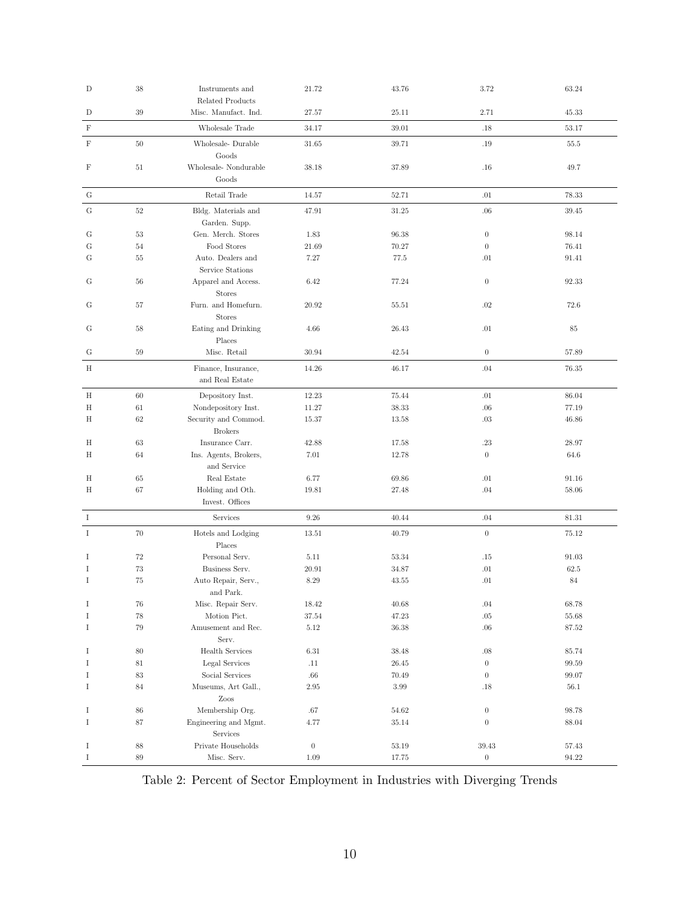| D           | 38     | Instruments and<br><b>Related Products</b> | 21.72            | 43.76 | 3.72             | 63.24 |
|-------------|--------|--------------------------------------------|------------------|-------|------------------|-------|
| D           | 39     | Misc. Manufact. Ind.                       | 27.57            | 25.11 | 2.71             | 45.33 |
| $\mathbf F$ |        | Wholesale Trade                            | 34.17            | 39.01 | $.18\,$          | 53.17 |
| F           | $50\,$ | Wholesale-Durable<br>Goods                 | 31.65            | 39.71 | .19              | 55.5  |
| F           | 51     | Wholesale-Nondurable<br>Goods              | 38.18            | 37.89 | .16              | 49.7  |
| ${\rm G}$   |        | Retail Trade                               | 14.57            | 52.71 | .01              | 78.33 |
| G           | $52\,$ | Bldg. Materials and<br>Garden. Supp.       | 47.91            | 31.25 | .06              | 39.45 |
| G           | 53     | Gen. Merch. Stores                         | 1.83             | 96.38 | $\boldsymbol{0}$ | 98.14 |
| G           | 54     | Food Stores                                | 21.69            | 70.27 | $\boldsymbol{0}$ | 76.41 |
| G           | 55     | Auto. Dealers and<br>Service Stations      | 7.27             | 77.5  | $.01\,$          | 91.41 |
| G           | 56     | Apparel and Access.<br><b>Stores</b>       | 6.42             | 77.24 | $\boldsymbol{0}$ | 92.33 |
| G           | 57     | Furn. and Homefurn.<br><b>Stores</b>       | 20.92            | 55.51 | .02              | 72.6  |
| G           | 58     | Eating and Drinking<br>Places              | 4.66             | 26.43 | .01              | 85    |
| G           | 59     | Misc. Retail                               | 30.94            | 42.54 | $\mathbf{0}$     | 57.89 |
| H           |        | Finance, Insurance,<br>and Real Estate     | 14.26            | 46.17 | .04              | 76.35 |
| H           | 60     | Depository Inst.                           | 12.23            | 75.44 | .01              | 86.04 |
| Η           | 61     | Nondepository Inst.                        | 11.27            | 38.33 | .06              | 77.19 |
| Η           | 62     | Security and Commod.<br><b>Brokers</b>     | 15.37            | 13.58 | .03              | 46.86 |
| Η           | 63     | Insurance Carr.                            | 42.88            | 17.58 | .23              | 28.97 |
| Η           | 64     | Ins. Agents, Brokers,<br>and Service       | 7.01             | 12.78 | $\boldsymbol{0}$ | 64.6  |
| Η           | 65     | Real Estate                                | 6.77             | 69.86 | .01              | 91.16 |
| Η           | 67     | Holding and Oth.<br>Invest. Offices        | 19.81            | 27.48 | .04              | 58.06 |
| $\bf{I}$    |        | Services                                   | 9.26             | 40.44 | .04              | 81.31 |
| Ι           | 70     | Hotels and Lodging<br>Places               | 13.51            | 40.79 | $\boldsymbol{0}$ | 75.12 |
| Ι           | $72\,$ | Personal Serv.                             | 5.11             | 53.34 | .15              | 91.03 |
| Ι           | 73     | Business Serv.                             | 20.91            | 34.87 | $.01\,$          | 62.5  |
| Ι           | 75     | Auto Repair, Serv.,<br>and Park.           | 8.29             | 43.55 | .01              | 84    |
| Ι           | 76     | Misc. Repair Serv.                         | 18.42            | 40.68 | .04              | 68.78 |
| Ι           | $78\,$ | Motion Pict.                               | 37.54            | 47.23 | $.05\,$          | 55.68 |
| Ι           | 79     | Amusement and Rec.<br>Serv.                | $5.12\,$         | 36.38 | .06              | 87.52 |
| Ι           | 80     | Health Services                            | 6.31             | 38.48 | .08              | 85.74 |
| Ι           | 81     | Legal Services                             | .11              | 26.45 | $\boldsymbol{0}$ | 99.59 |
| Ι           | 83     | Social Services                            | $.66\,$          | 70.49 | $\boldsymbol{0}$ | 99.07 |
| Ι           | 84     | Museums, Art Gall.,<br>Zoos                | 2.95             | 3.99  | .18              | 56.1  |
| Ι           | 86     | Membership Org.                            | .67              | 54.62 | $\boldsymbol{0}$ | 98.78 |
| Ι           | 87     | Engineering and Mgmt.<br>Services          | 4.77             | 35.14 | $\boldsymbol{0}$ | 88.04 |
| Ι           | 88     | Private Households                         | $\boldsymbol{0}$ | 53.19 | 39.43            | 57.43 |
| Ι           | $89\,$ | Misc. Serv.                                | 1.09             | 17.75 | $\boldsymbol{0}$ | 94.22 |

Table 2: Percent of Sector Employment in Industries with Diverging Trends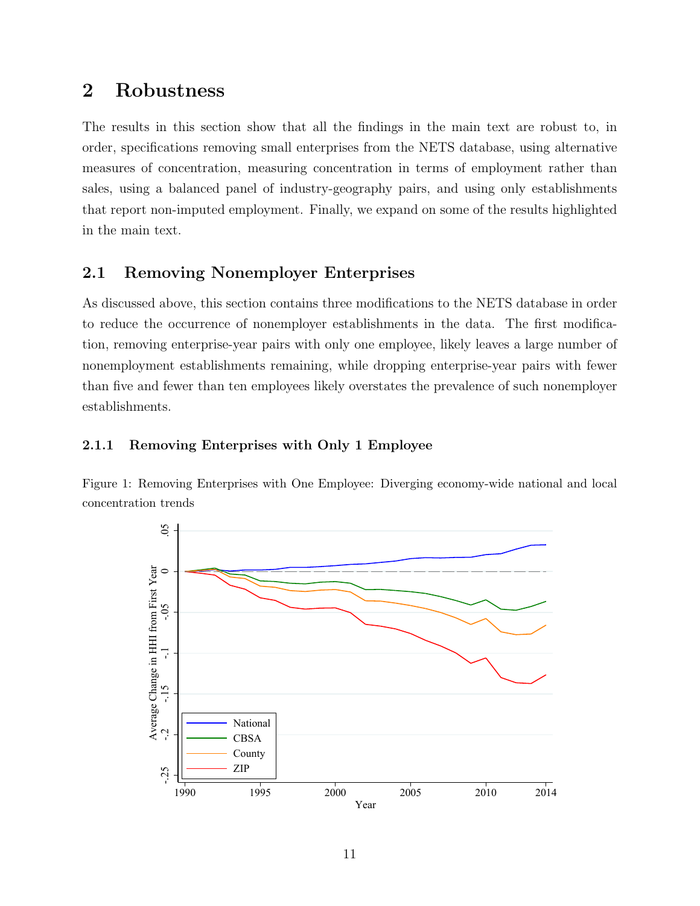## <span id="page-10-0"></span>2 Robustness

The results in this section show that all the findings in the main text are robust to, in order, specifications removing small enterprises from the NETS database, using alternative measures of concentration, measuring concentration in terms of employment rather than sales, using a balanced panel of industry-geography pairs, and using only establishments that report non-imputed employment. Finally, we expand on some of the results highlighted in the main text.

## <span id="page-10-1"></span>2.1 Removing Nonemployer Enterprises

As discussed above, this section contains three modifications to the NETS database in order to reduce the occurrence of nonemployer establishments in the data. The first modification, removing enterprise-year pairs with only one employee, likely leaves a large number of nonemployment establishments remaining, while dropping enterprise-year pairs with fewer than five and fewer than ten employees likely overstates the prevalence of such nonemployer establishments.

### <span id="page-10-2"></span>2.1.1 Removing Enterprises with Only 1 Employee

Figure 1: Removing Enterprises with One Employee: Diverging economy-wide national and local concentration trends

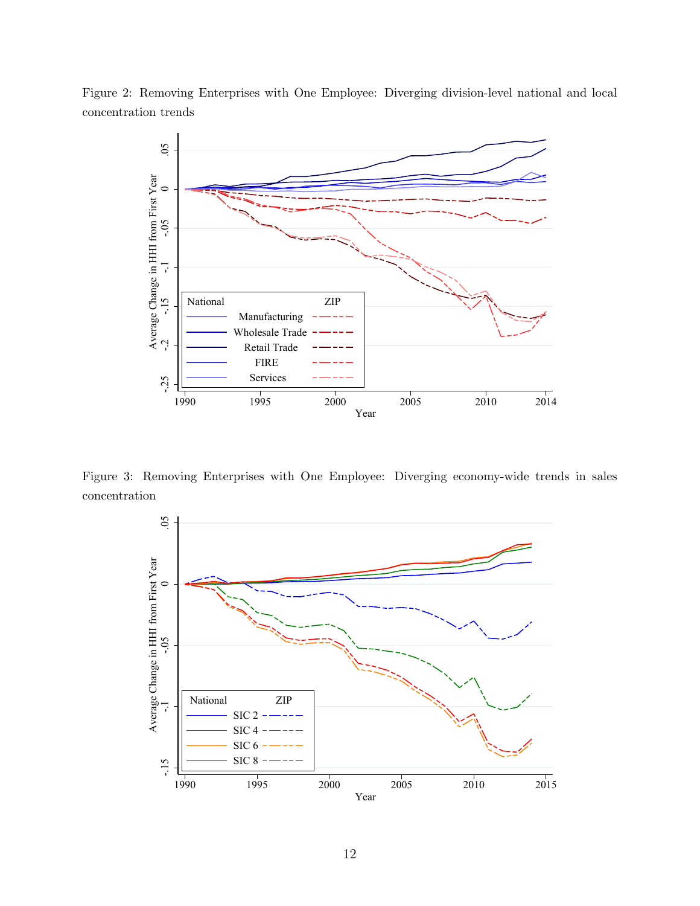Figure 2: Removing Enterprises with One Employee: Diverging division-level national and local concentration trends



Figure 3: Removing Enterprises with One Employee: Diverging economy-wide trends in sales concentration

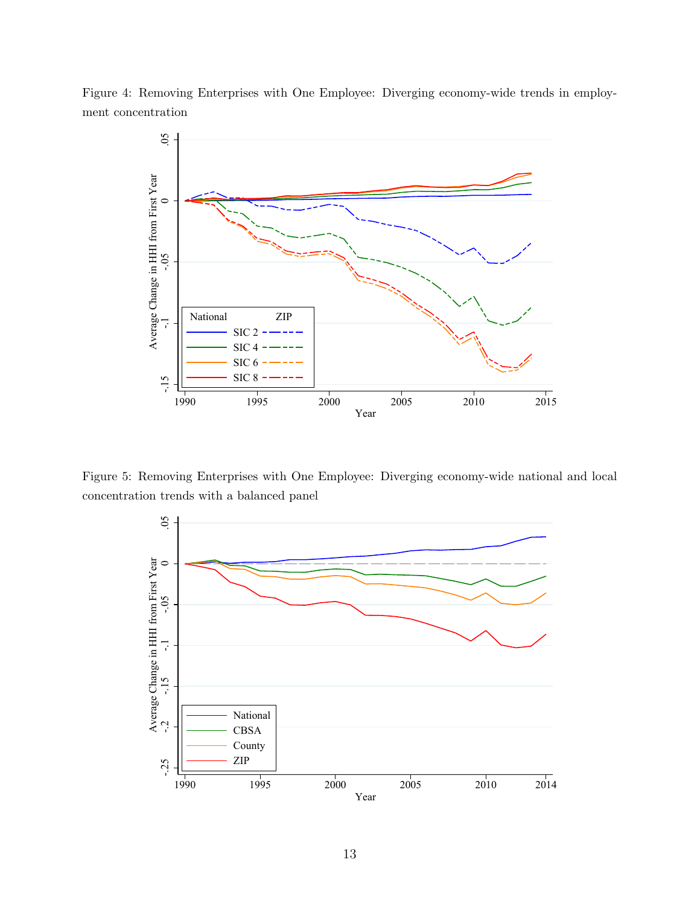Figure 4: Removing Enterprises with One Employee: Diverging economy-wide trends in employment concentration



Figure 5: Removing Enterprises with One Employee: Diverging economy-wide national and local concentration trends with a balanced panel

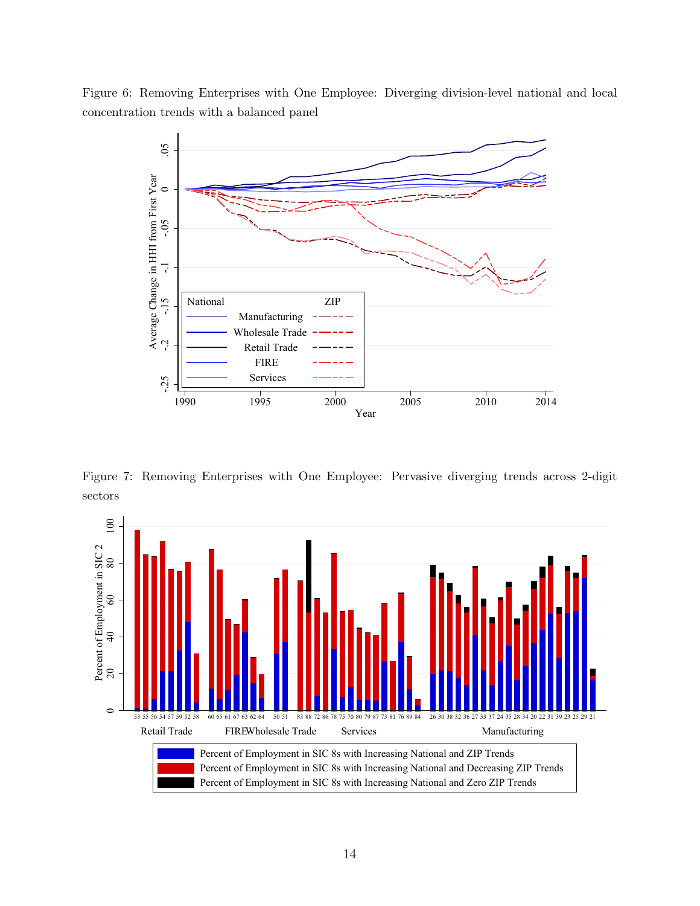Figure 6: Removing Enterprises with One Employee: Diverging division-level national and local concentration trends with a balanced panel



Figure 7: Removing Enterprises with One Employee: Pervasive diverging trends across 2-digit sectors

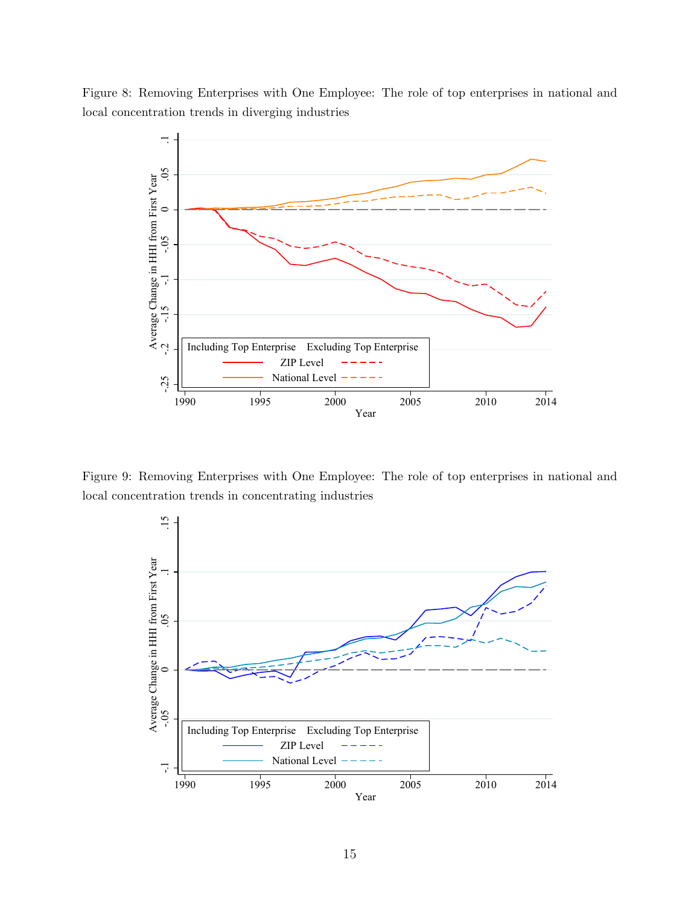Figure 8: Removing Enterprises with One Employee: The role of top enterprises in national and local concentration trends in diverging industries



Figure 9: Removing Enterprises with One Employee: The role of top enterprises in national and local concentration trends in concentrating industries

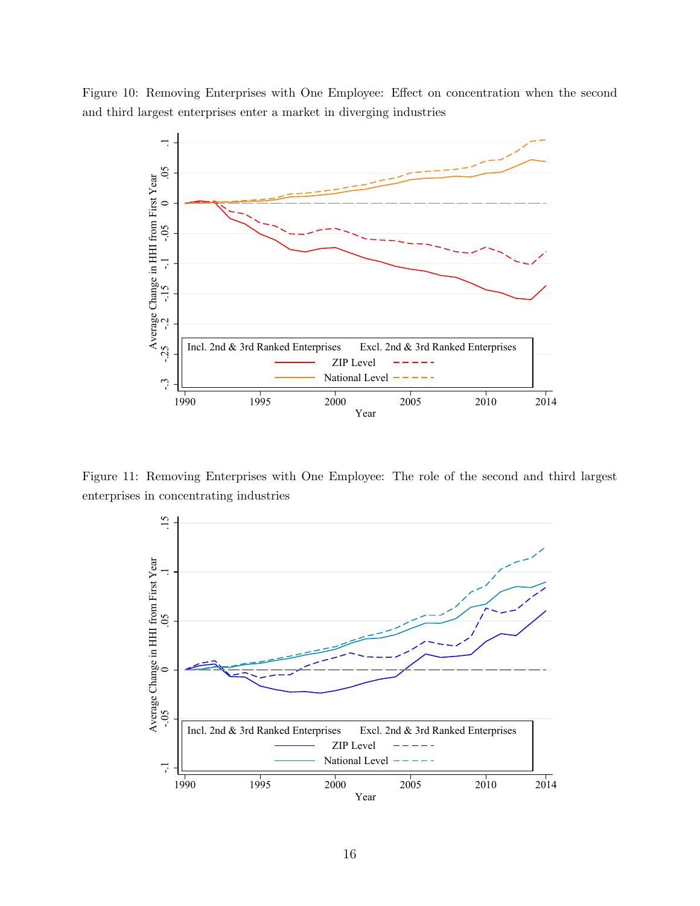Figure 10: Removing Enterprises with One Employee: Effect on concentration when the second and third largest enterprises enter a market in diverging industries



Figure 11: Removing Enterprises with One Employee: The role of the second and third largest enterprises in concentrating industries

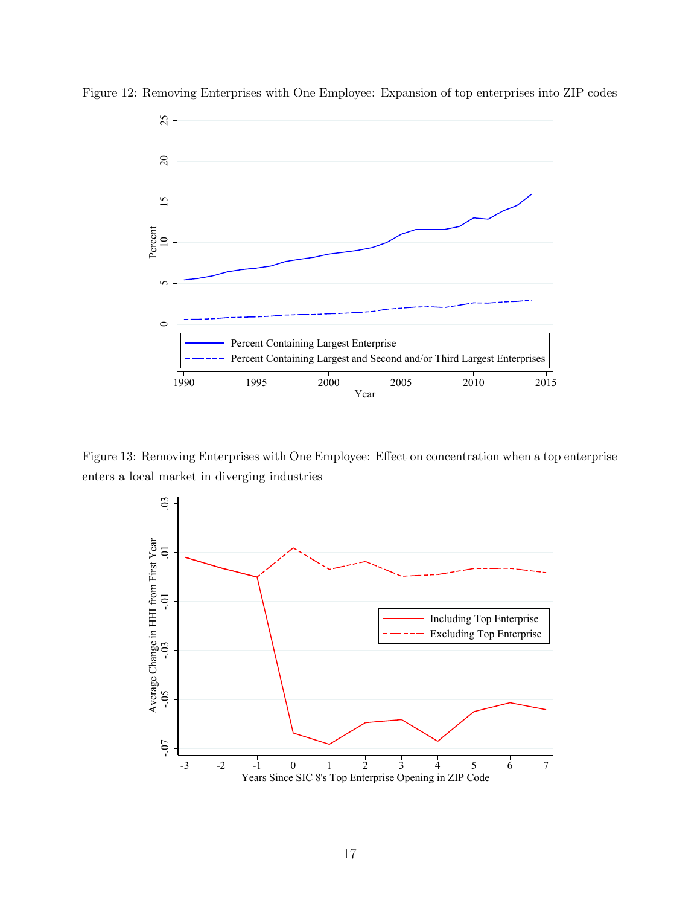

Figure 12: Removing Enterprises with One Employee: Expansion of top enterprises into ZIP codes

Figure 13: Removing Enterprises with One Employee: Effect on concentration when a top enterprise enters a local market in diverging industries

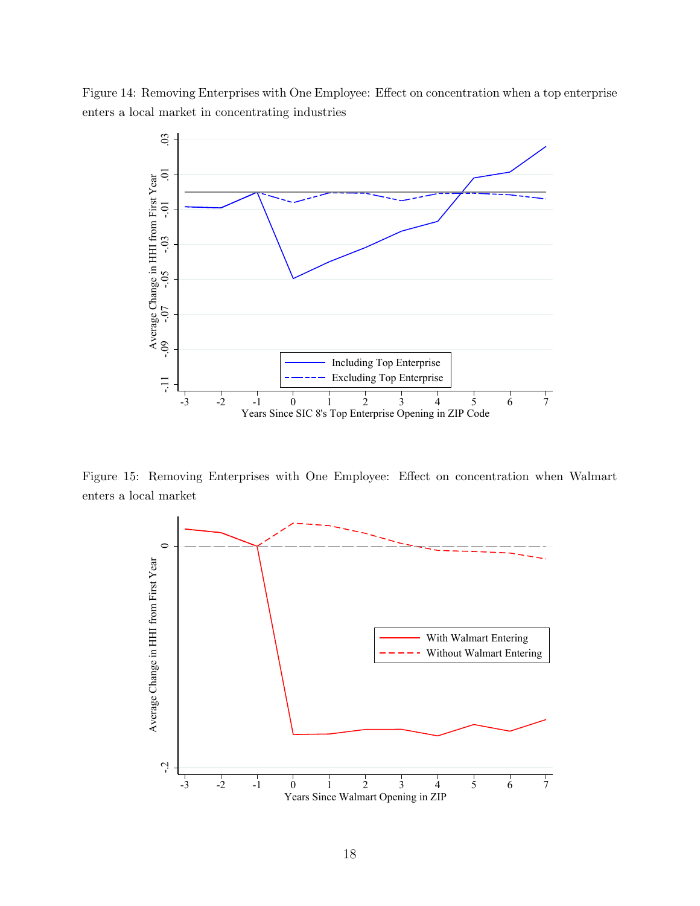Figure 14: Removing Enterprises with One Employee: Effect on concentration when a top enterprise enters a local market in concentrating industries



Figure 15: Removing Enterprises with One Employee: Effect on concentration when Walmart enters a local market

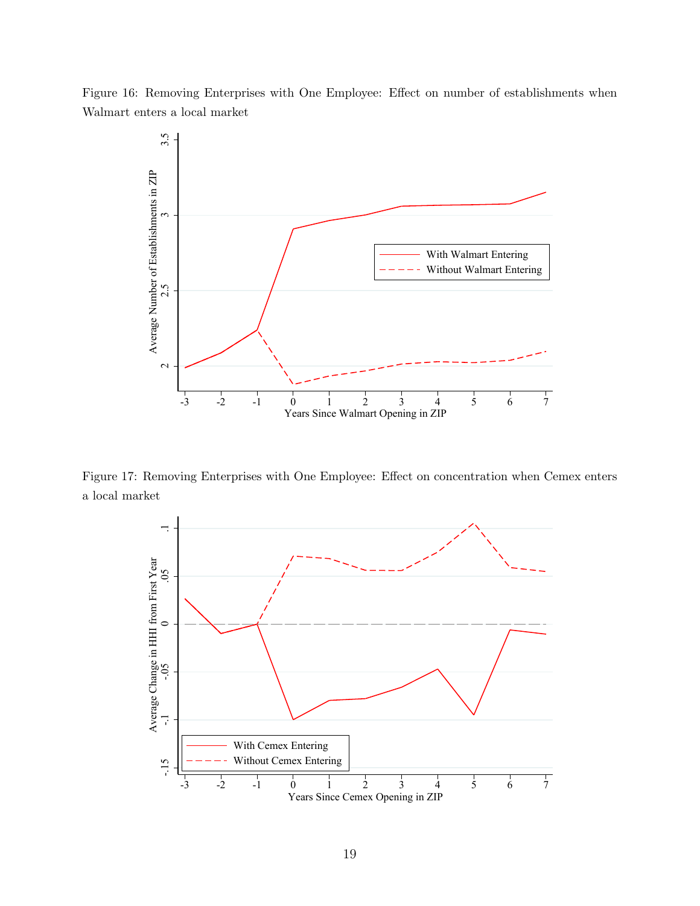Figure 16: Removing Enterprises with One Employee: Effect on number of establishments when Walmart enters a local market



Figure 17: Removing Enterprises with One Employee: Effect on concentration when Cemex enters a local market

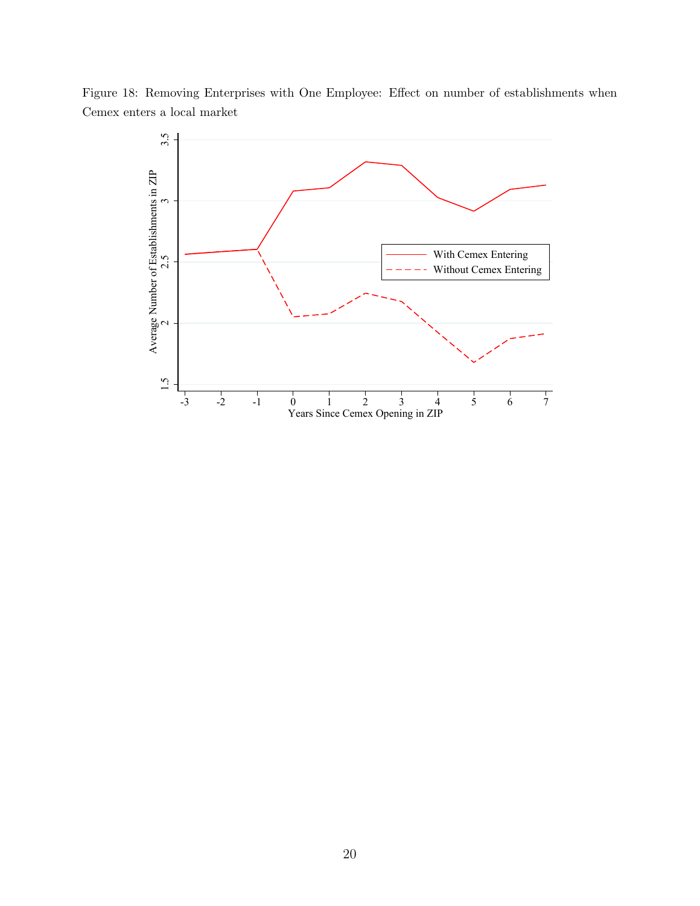

Figure 18: Removing Enterprises with One Employee: Effect on number of establishments when Cemex enters a local market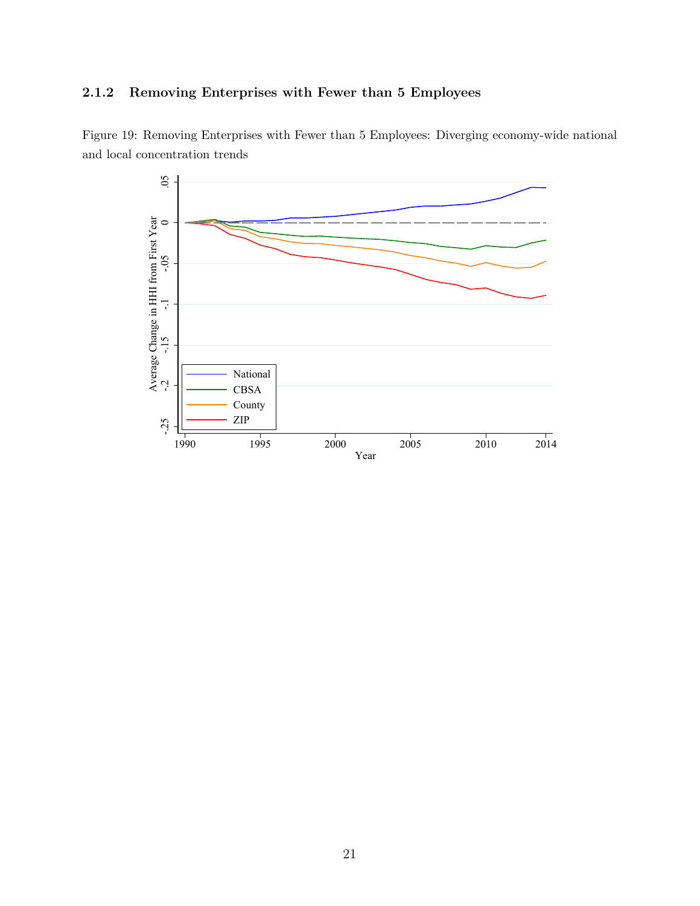## <span id="page-20-0"></span>2.1.2 Removing Enterprises with Fewer than 5 Employees



Figure 19: Removing Enterprises with Fewer than 5 Employees: Diverging economy-wide national and local concentration trends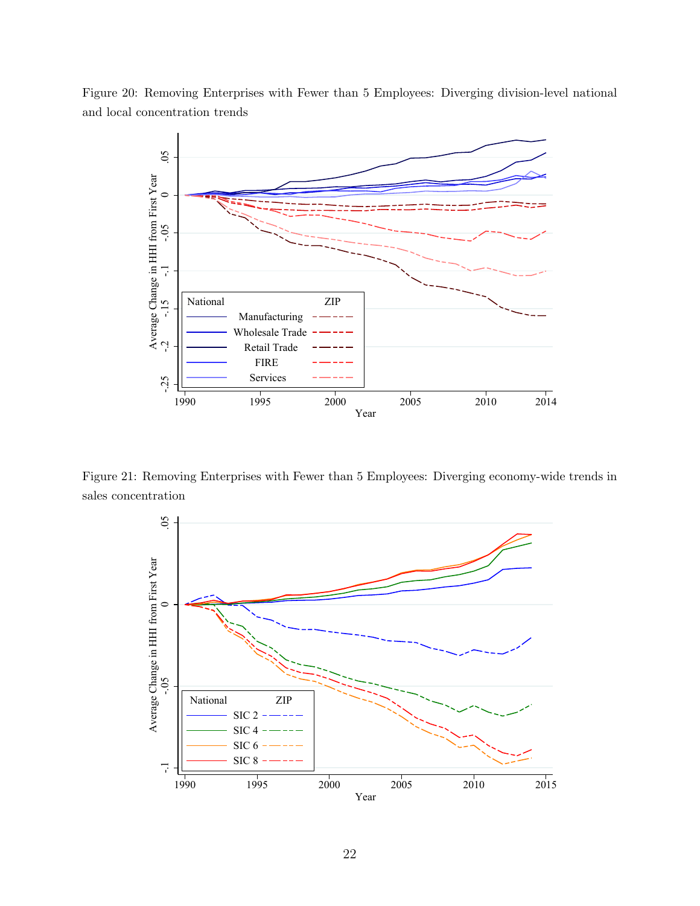Figure 20: Removing Enterprises with Fewer than 5 Employees: Diverging division-level national and local concentration trends



Figure 21: Removing Enterprises with Fewer than 5 Employees: Diverging economy-wide trends in sales concentration

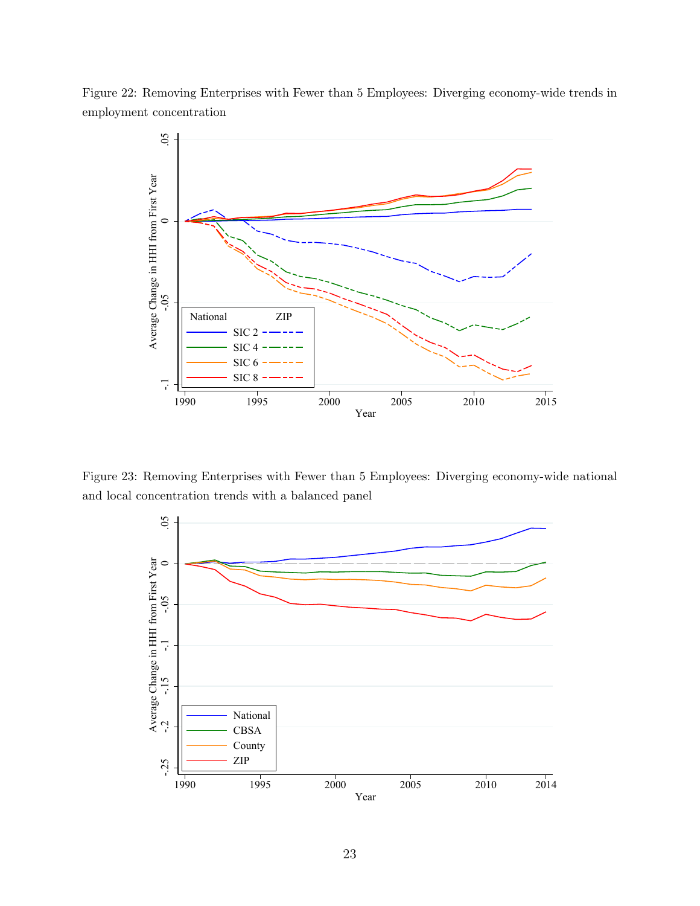



Figure 23: Removing Enterprises with Fewer than 5 Employees: Diverging economy-wide national and local concentration trends with a balanced panel

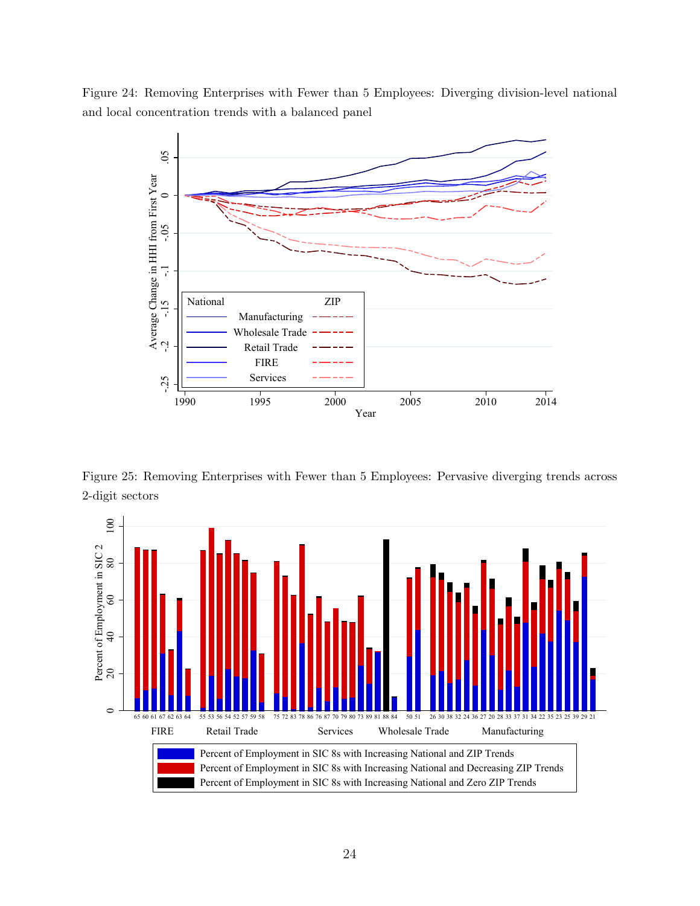Figure 24: Removing Enterprises with Fewer than 5 Employees: Diverging division-level national and local concentration trends with a balanced panel



Figure 25: Removing Enterprises with Fewer than 5 Employees: Pervasive diverging trends across 2-digit sectors

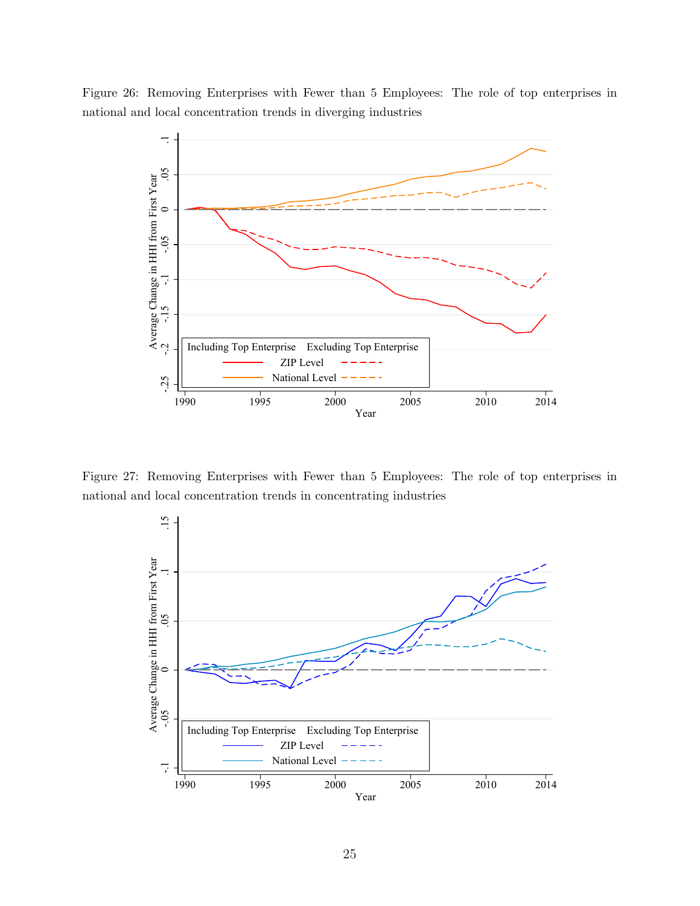Figure 26: Removing Enterprises with Fewer than 5 Employees: The role of top enterprises in national and local concentration trends in diverging industries



Figure 27: Removing Enterprises with Fewer than 5 Employees: The role of top enterprises in national and local concentration trends in concentrating industries

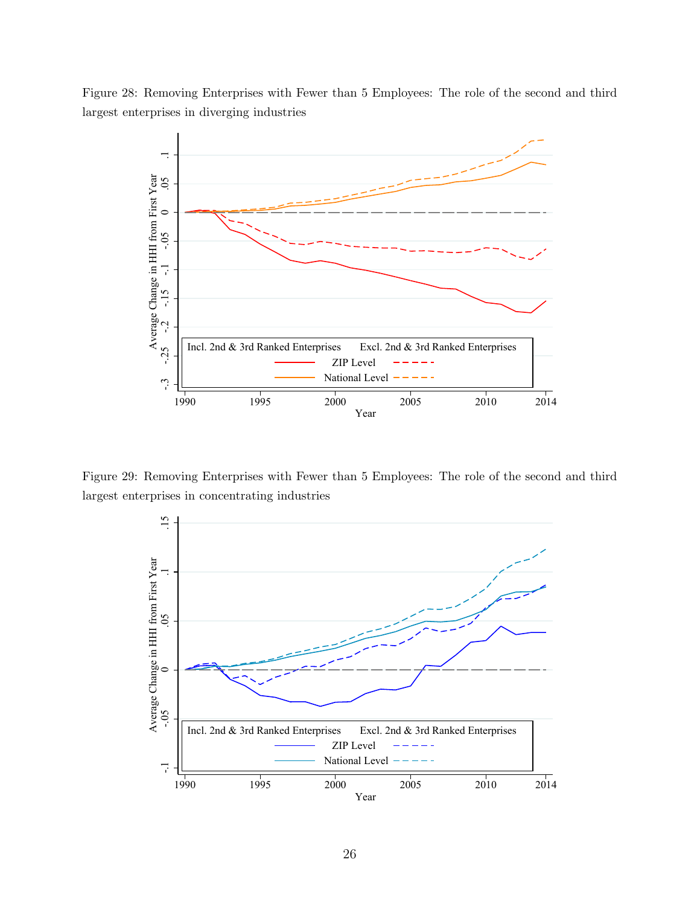Figure 28: Removing Enterprises with Fewer than 5 Employees: The role of the second and third largest enterprises in diverging industries



Figure 29: Removing Enterprises with Fewer than 5 Employees: The role of the second and third largest enterprises in concentrating industries

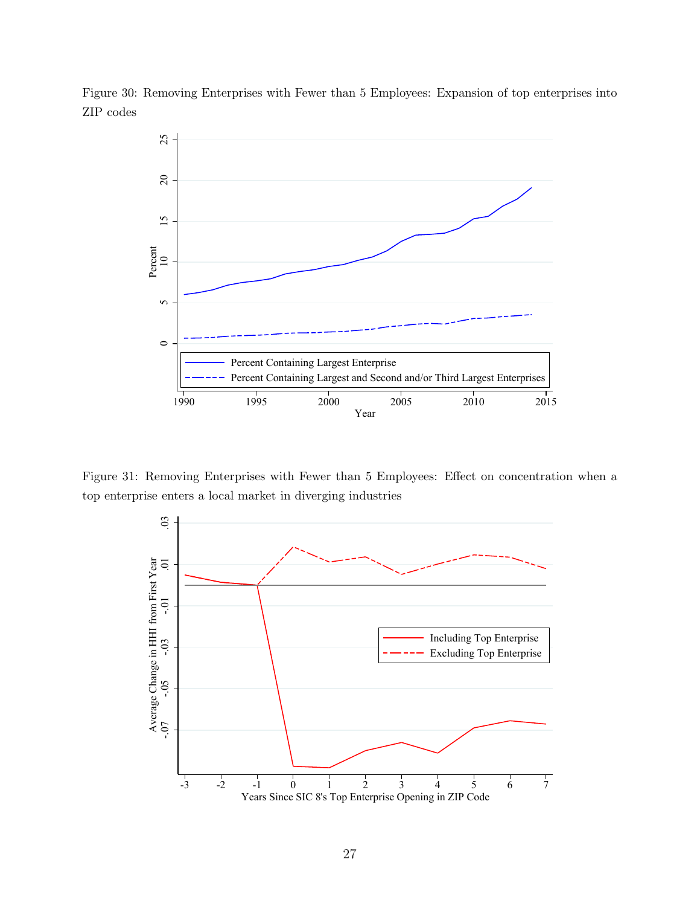

Figure 30: Removing Enterprises with Fewer than 5 Employees: Expansion of top enterprises into ZIP codes

Figure 31: Removing Enterprises with Fewer than 5 Employees: Effect on concentration when a top enterprise enters a local market in diverging industries

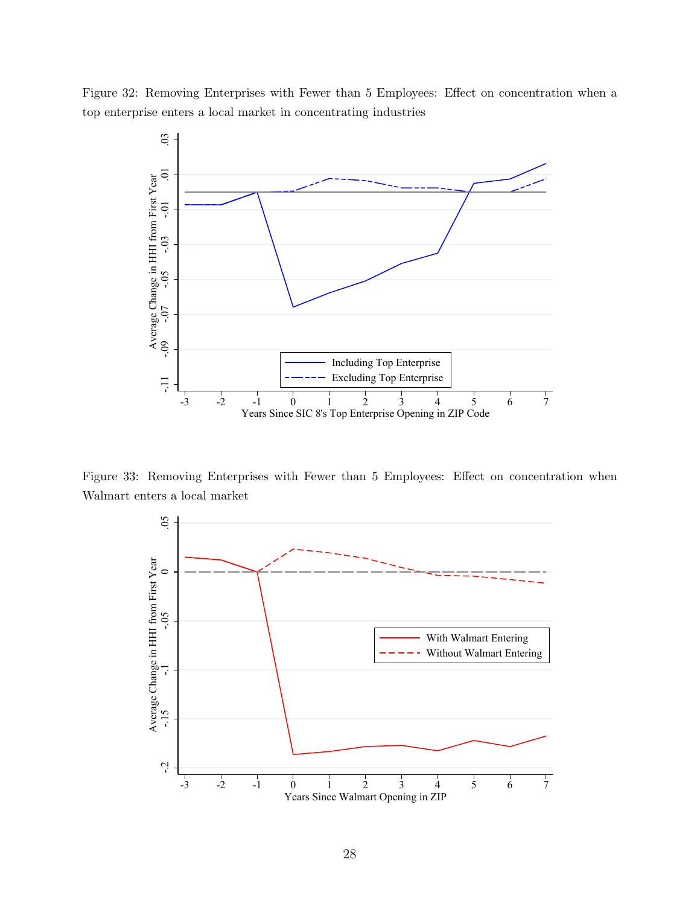Figure 32: Removing Enterprises with Fewer than 5 Employees: Effect on concentration when a top enterprise enters a local market in concentrating industries



Figure 33: Removing Enterprises with Fewer than 5 Employees: Effect on concentration when Walmart enters a local market

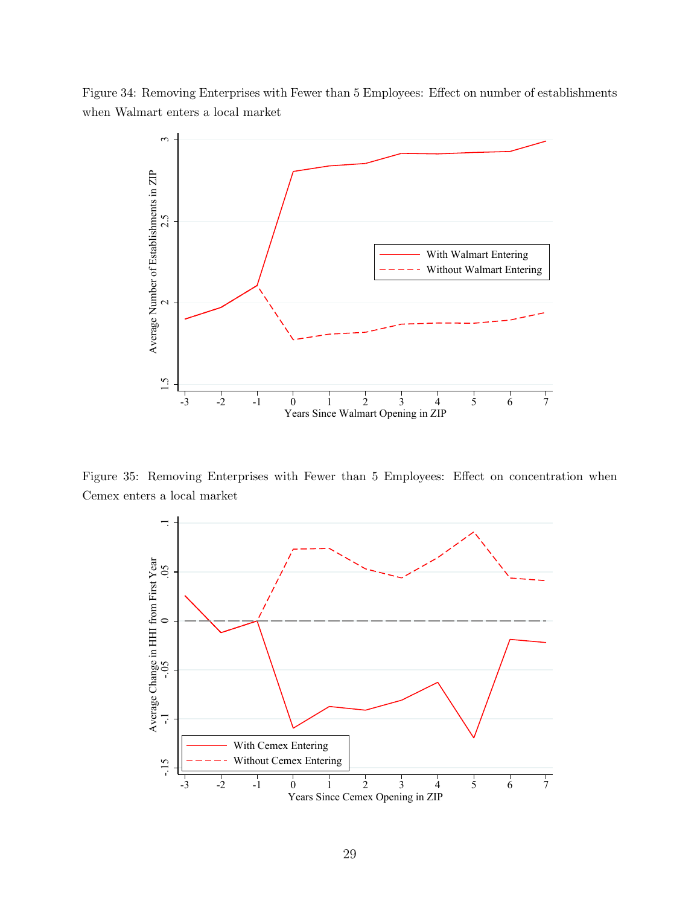Figure 34: Removing Enterprises with Fewer than 5 Employees: Effect on number of establishments when Walmart enters a local market



Figure 35: Removing Enterprises with Fewer than 5 Employees: Effect on concentration when Cemex enters a local market

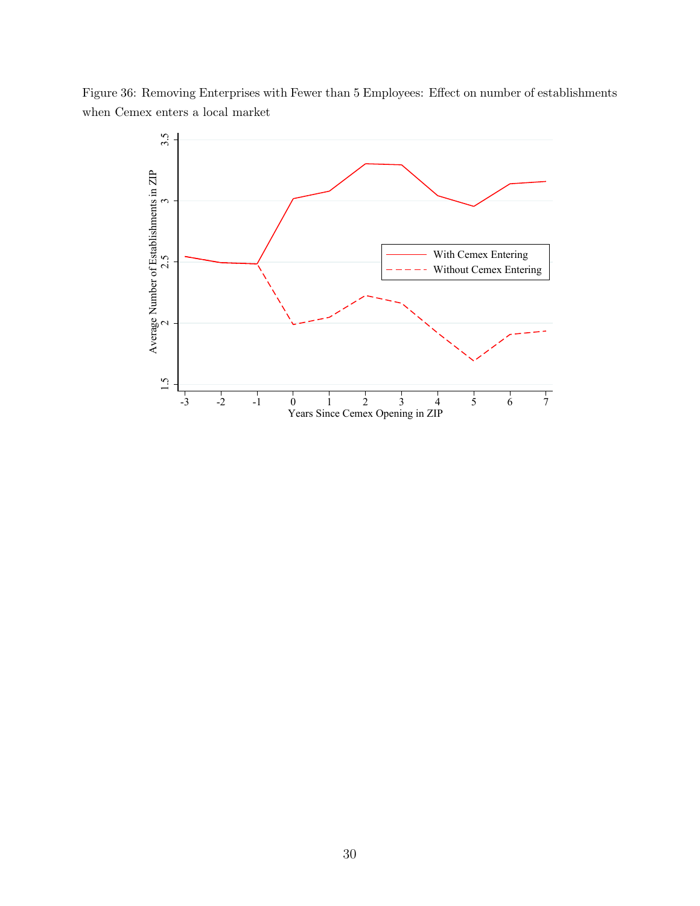Figure 36: Removing Enterprises with Fewer than 5 Employees: Effect on number of establishments when Cemex enters a local market

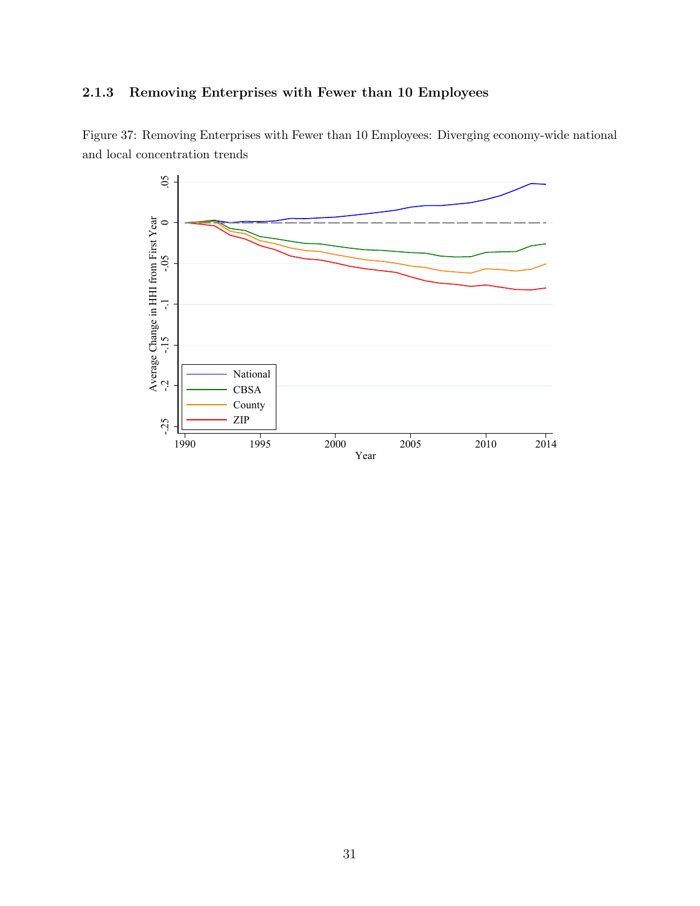## <span id="page-30-0"></span>2.1.3 Removing Enterprises with Fewer than 10 Employees



Figure 37: Removing Enterprises with Fewer than 10 Employees: Diverging economy-wide national and local concentration trends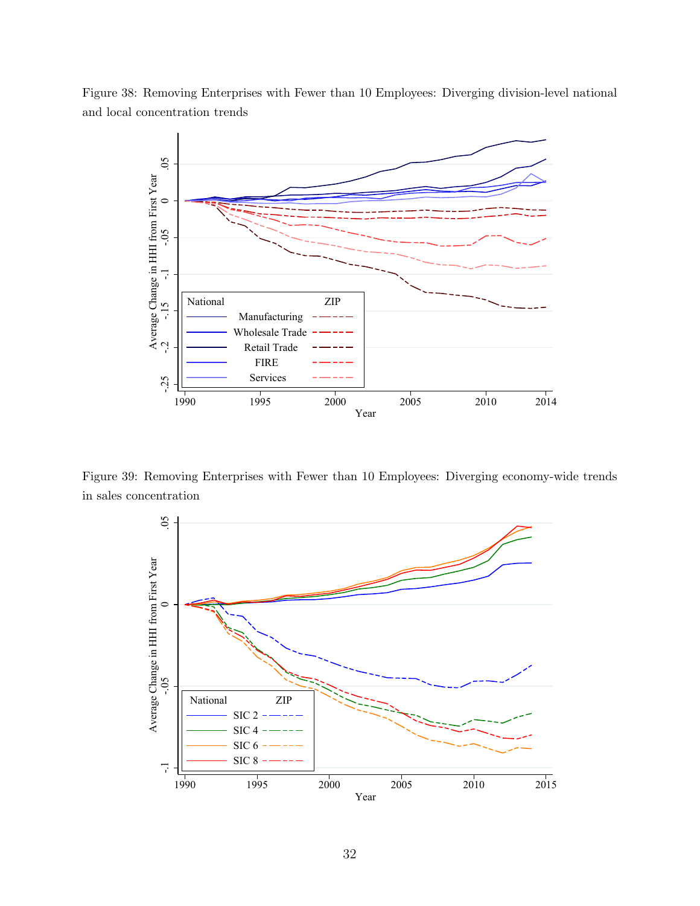Figure 38: Removing Enterprises with Fewer than 10 Employees: Diverging division-level national and local concentration trends



Figure 39: Removing Enterprises with Fewer than 10 Employees: Diverging economy-wide trends in sales concentration

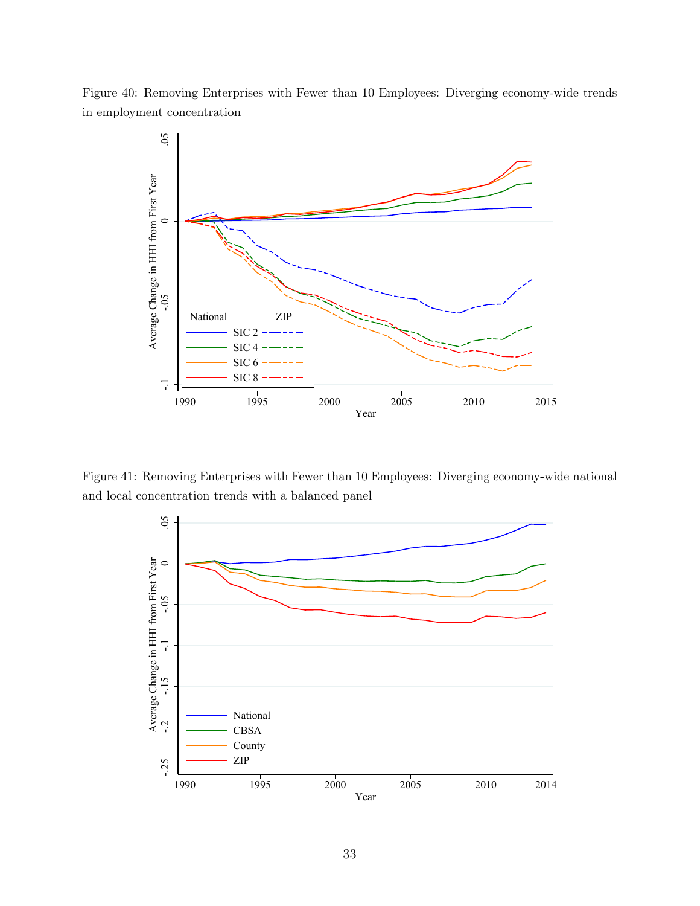



Figure 41: Removing Enterprises with Fewer than 10 Employees: Diverging economy-wide national and local concentration trends with a balanced panel

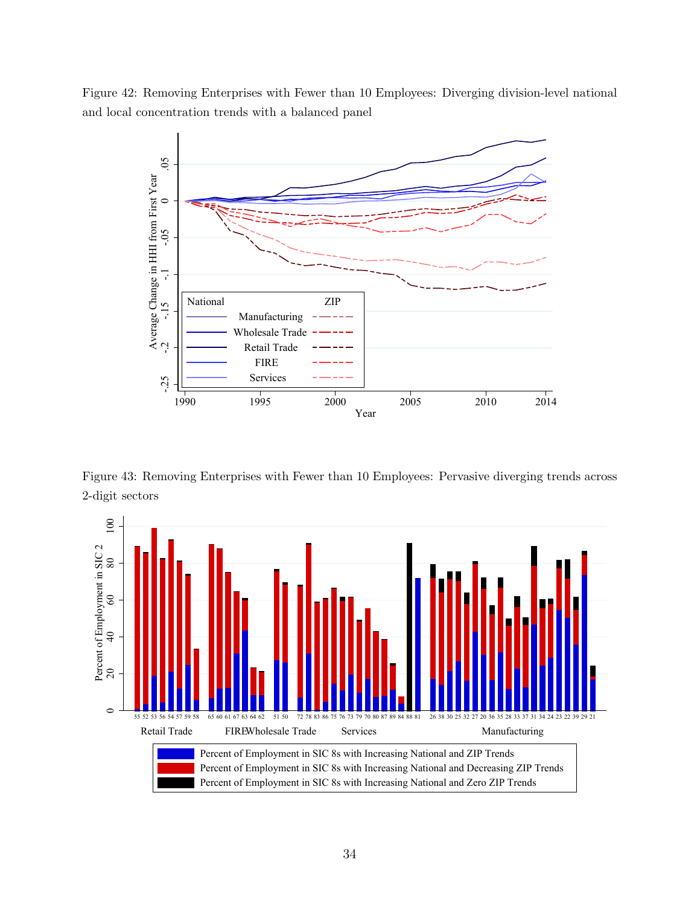Figure 42: Removing Enterprises with Fewer than 10 Employees: Diverging division-level national and local concentration trends with a balanced panel



Figure 43: Removing Enterprises with Fewer than 10 Employees: Pervasive diverging trends across 2-digit sectors

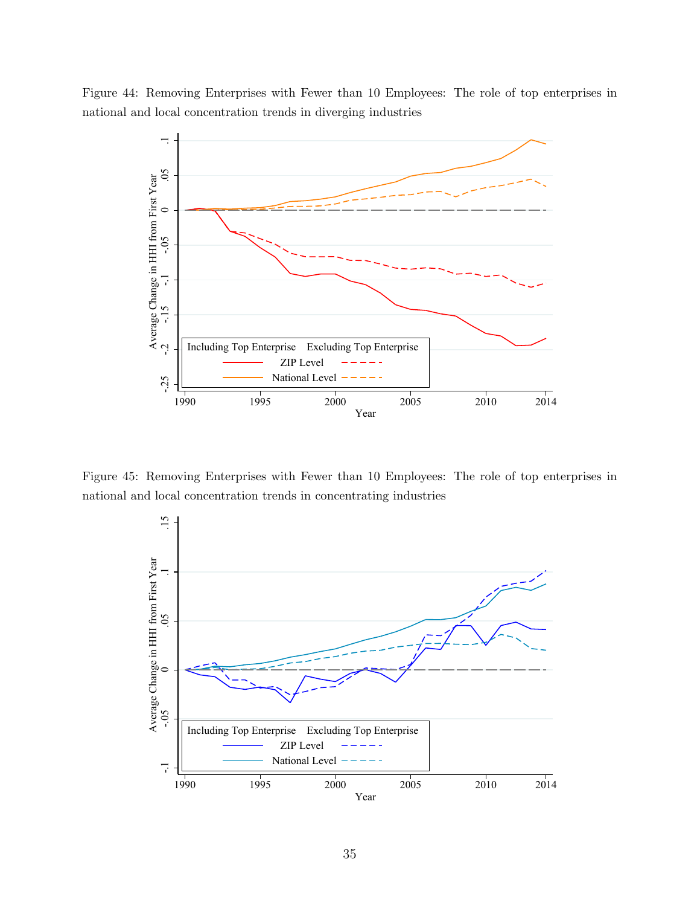Figure 44: Removing Enterprises with Fewer than 10 Employees: The role of top enterprises in national and local concentration trends in diverging industries



Figure 45: Removing Enterprises with Fewer than 10 Employees: The role of top enterprises in national and local concentration trends in concentrating industries

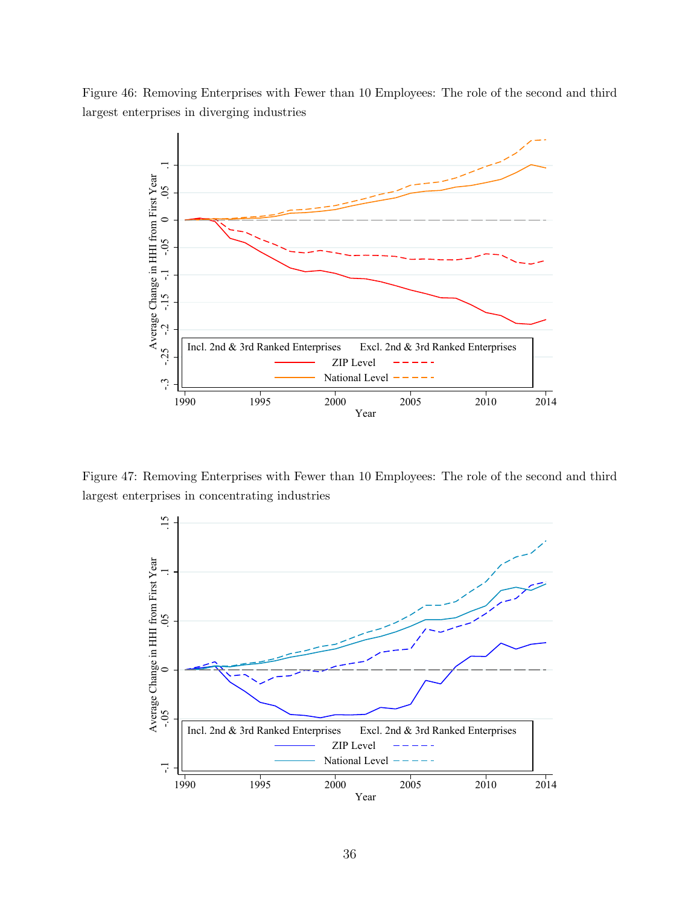Figure 46: Removing Enterprises with Fewer than 10 Employees: The role of the second and third largest enterprises in diverging industries



Figure 47: Removing Enterprises with Fewer than 10 Employees: The role of the second and third largest enterprises in concentrating industries

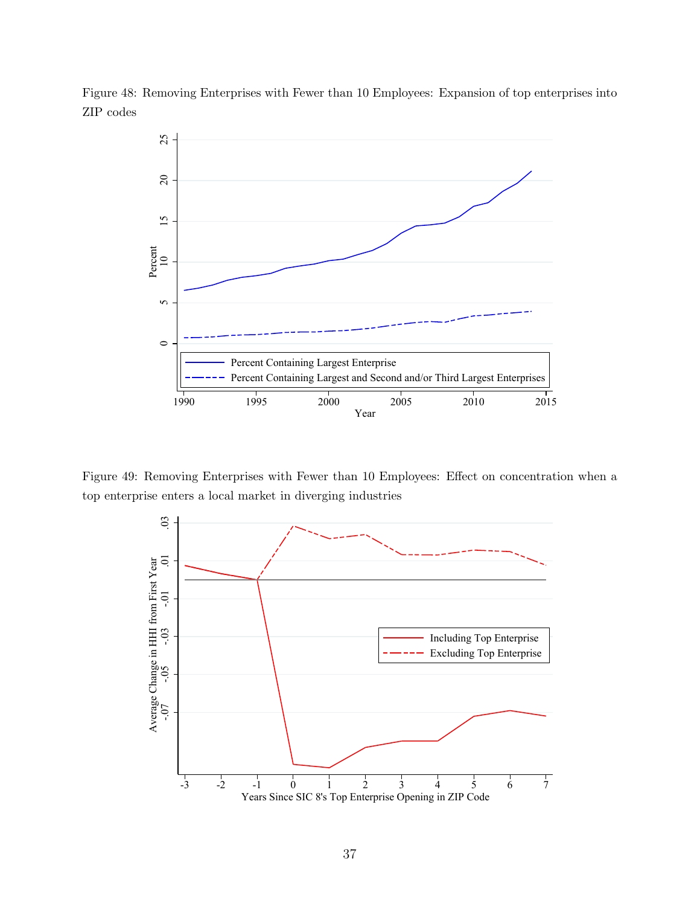

Figure 48: Removing Enterprises with Fewer than 10 Employees: Expansion of top enterprises into ZIP codes

Figure 49: Removing Enterprises with Fewer than 10 Employees: Effect on concentration when a top enterprise enters a local market in diverging industries

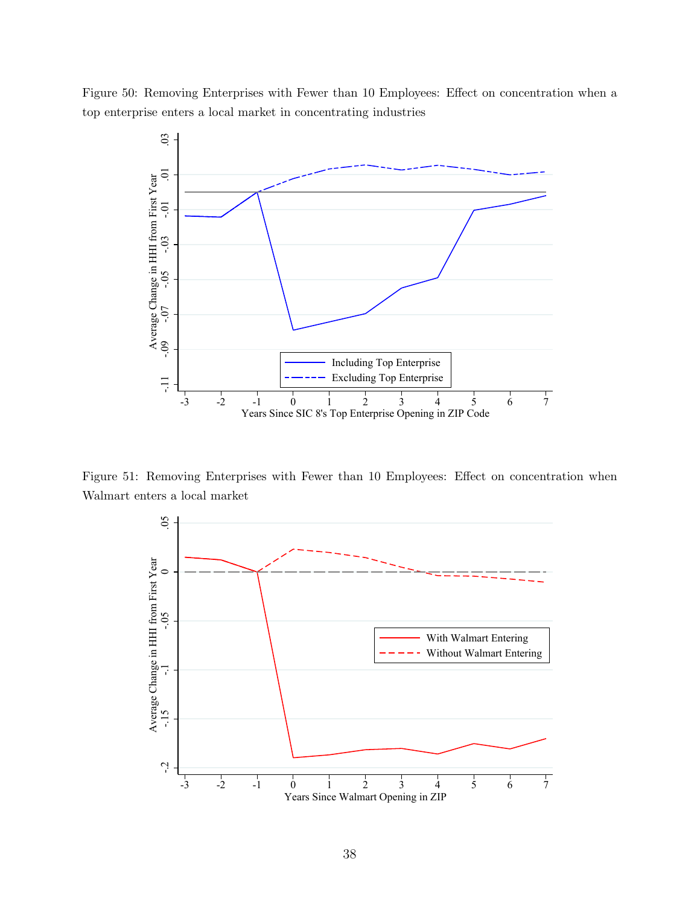Figure 50: Removing Enterprises with Fewer than 10 Employees: Effect on concentration when a top enterprise enters a local market in concentrating industries



Figure 51: Removing Enterprises with Fewer than 10 Employees: Effect on concentration when Walmart enters a local market

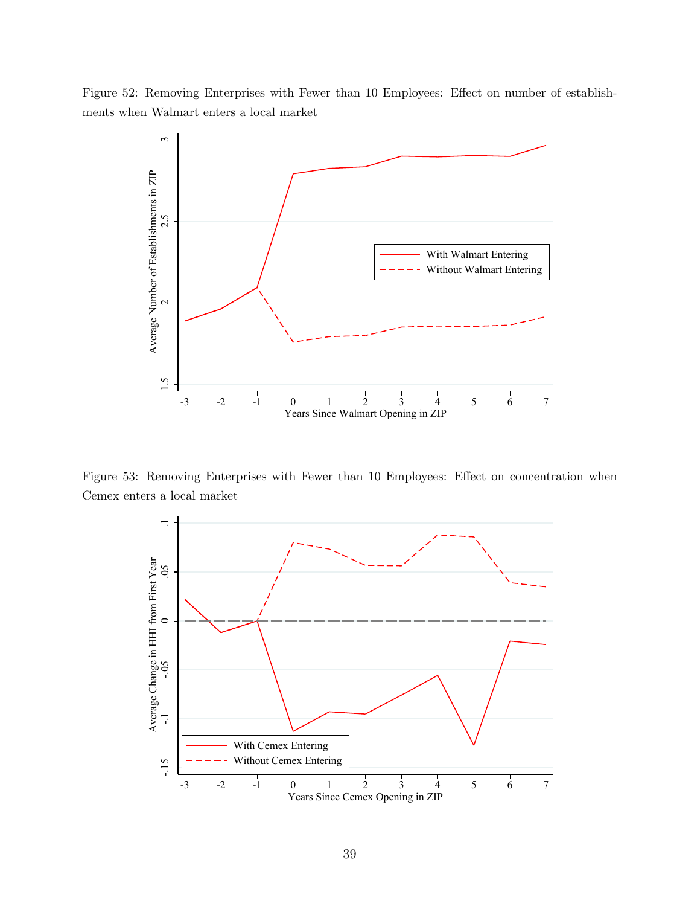Figure 52: Removing Enterprises with Fewer than 10 Employees: Effect on number of establishments when Walmart enters a local market



Figure 53: Removing Enterprises with Fewer than 10 Employees: Effect on concentration when Cemex enters a local market

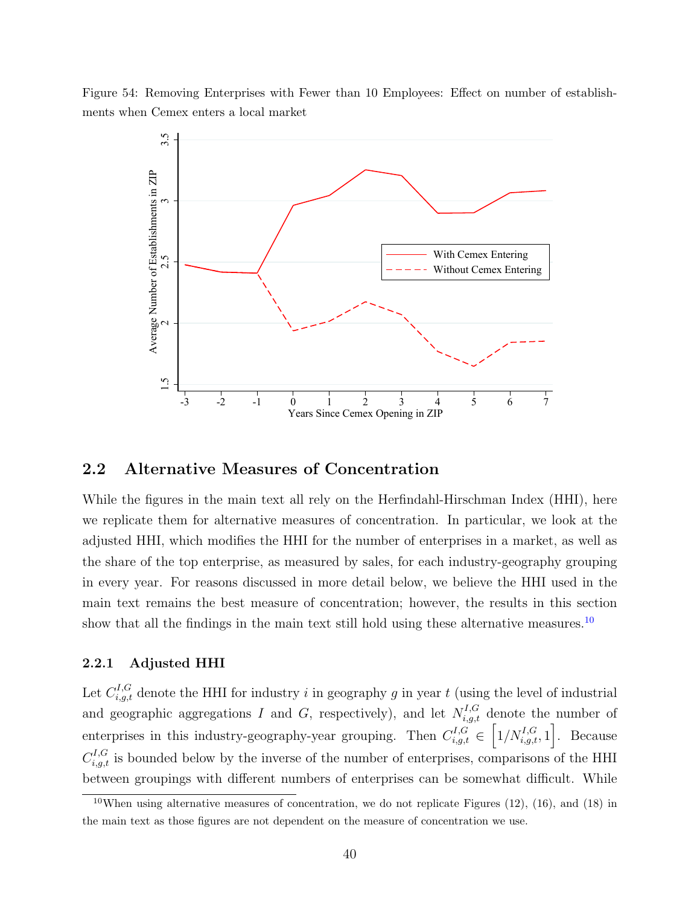Figure 54: Removing Enterprises with Fewer than 10 Employees: Effect on number of establishments when Cemex enters a local market



### 2.2 Alternative Measures of Concentration

While the figures in the main text all rely on the Herfindahl-Hirschman Index (HHI), here we replicate them for alternative measures of concentration. In particular, we look at the adjusted HHI, which modifies the HHI for the number of enterprises in a market, as well as the share of the top enterprise, as measured by sales, for each industry-geography grouping in every year. For reasons discussed in more detail below, we believe the HHI used in the main text remains the best measure of concentration; however, the results in this section show that all the findings in the main text still hold using these alternative measures.<sup>[10](#page-39-0)</sup>

## 2.2.1 Adjusted HHI

Let  $C_{i,g,t}^{I,G}$  denote the HHI for industry i in geography g in year t (using the level of industrial and geographic aggregations I and G, respectively), and let  $N_{i,g,t}^{I,G}$  denote the number of enterprises in this industry-geography-year grouping. Then  $C_{i,g,t}^{I,G} \in \left[1/N_{i,g,t}^{I,G}, 1\right]$ . Because  $C_{i,g,t}^{I,G}$  is bounded below by the inverse of the number of enterprises, comparisons of the HHI between groupings with different numbers of enterprises can be somewhat difficult. While

<span id="page-39-0"></span><sup>&</sup>lt;sup>10</sup>When using alternative measures of concentration, we do not replicate Figures  $(12)$ ,  $(16)$ , and  $(18)$  in the main text as those figures are not dependent on the measure of concentration we use.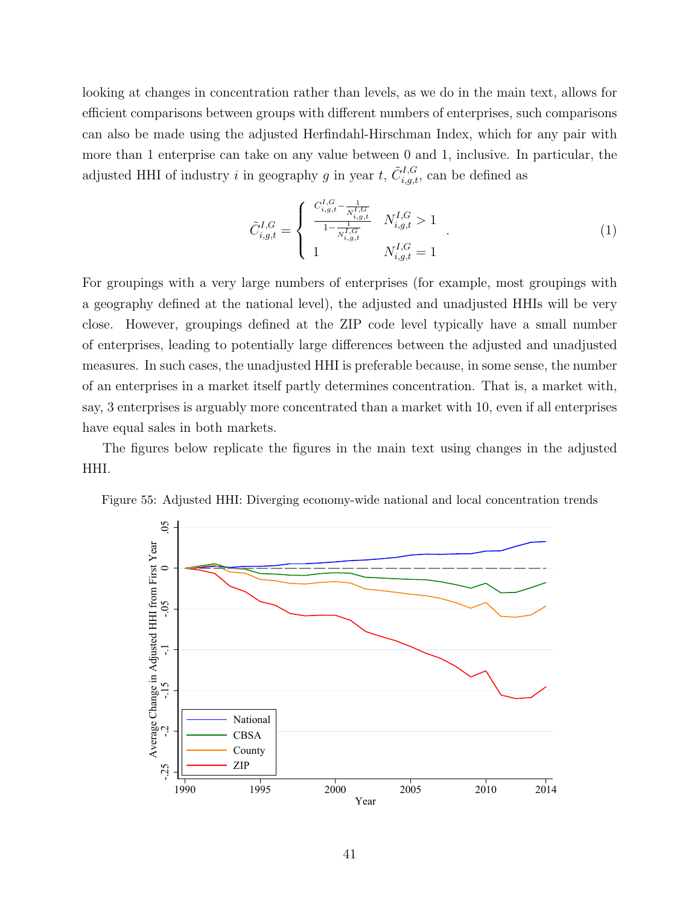looking at changes in concentration rather than levels, as we do in the main text, allows for efficient comparisons between groups with different numbers of enterprises, such comparisons can also be made using the adjusted Herfindahl-Hirschman Index, which for any pair with more than 1 enterprise can take on any value between 0 and 1, inclusive. In particular, the adjusted HHI of industry *i* in geography *g* in year *t*,  $\tilde{C}_{i,g,t}^{I,G}$ , can be defined as

$$
\tilde{C}_{i,g,t}^{I,G} = \begin{cases}\n\frac{C_{i,g,t}^{I,G} - \frac{1}{N_{i,g,t}^{I,G}}}{1 - \frac{1}{N_{i,g,t}^{I,G}}} & N_{i,g,t}^{I,G} > 1 \\
1 & N_{i,g,t}^{I,G} = 1\n\end{cases} (1)
$$

For groupings with a very large numbers of enterprises (for example, most groupings with a geography defined at the national level), the adjusted and unadjusted HHIs will be very close. However, groupings defined at the ZIP code level typically have a small number of enterprises, leading to potentially large differences between the adjusted and unadjusted measures. In such cases, the unadjusted HHI is preferable because, in some sense, the number of an enterprises in a market itself partly determines concentration. That is, a market with, say, 3 enterprises is arguably more concentrated than a market with 10, even if all enterprises have equal sales in both markets.

The figures below replicate the figures in the main text using changes in the adjusted HHI.



Figure 55: Adjusted HHI: Diverging economy-wide national and local concentration trends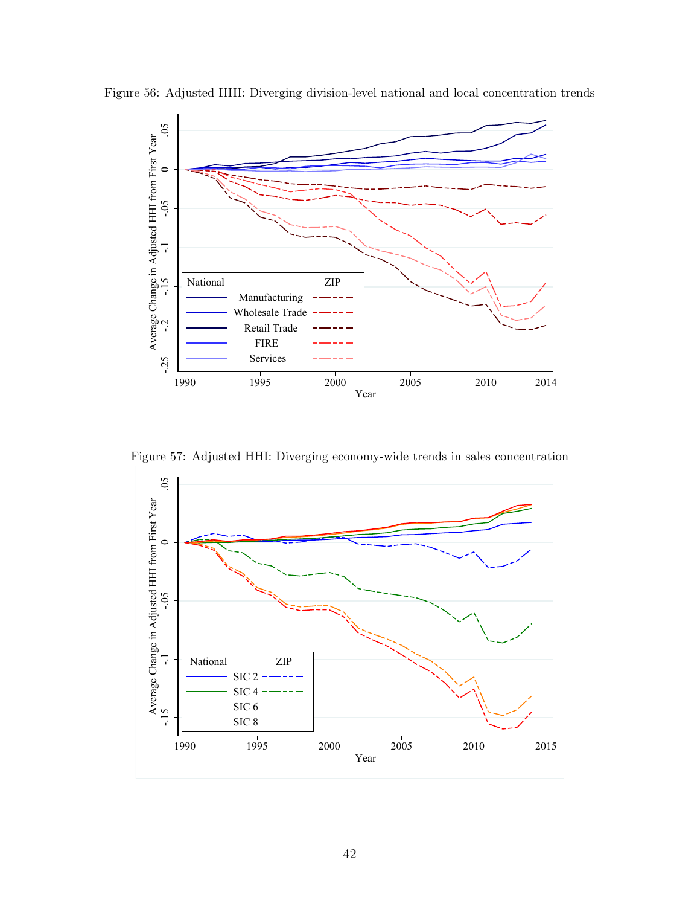

Figure 56: Adjusted HHI: Diverging division-level national and local concentration trends

Figure 57: Adjusted HHI: Diverging economy-wide trends in sales concentration

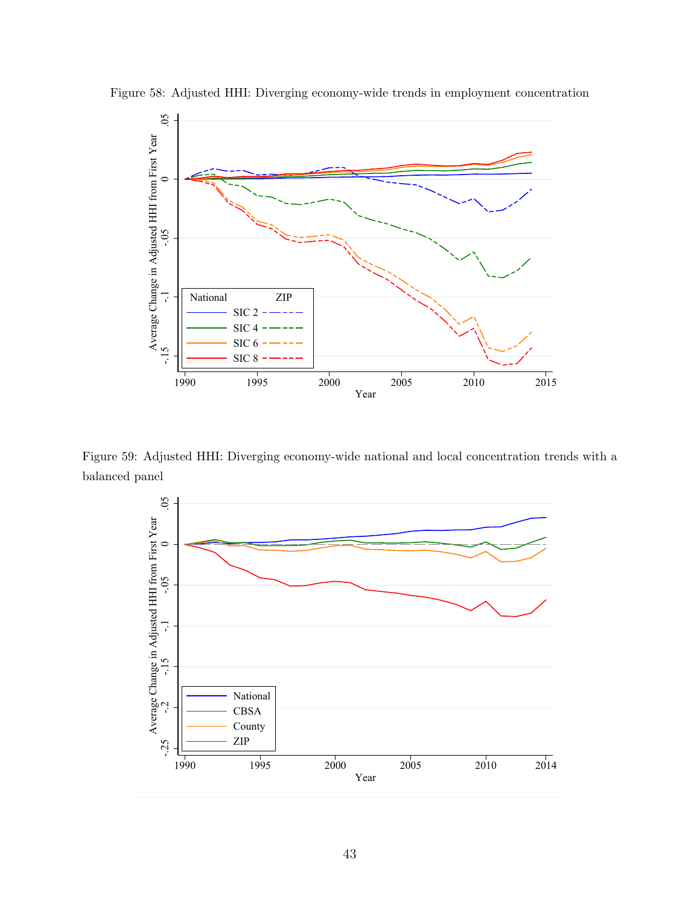

Figure 58: Adjusted HHI: Diverging economy-wide trends in employment concentration

Figure 59: Adjusted HHI: Diverging economy-wide national and local concentration trends with a balanced panel

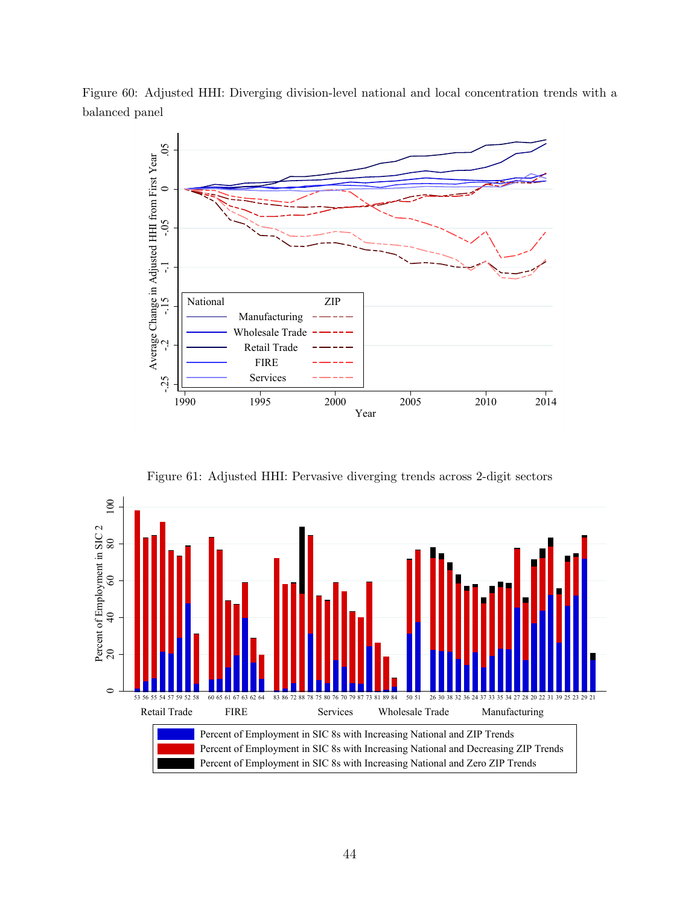Figure 60: Adjusted HHI: Diverging division-level national and local concentration trends with a balanced panel



Figure 61: Adjusted HHI: Pervasive diverging trends across 2-digit sectors

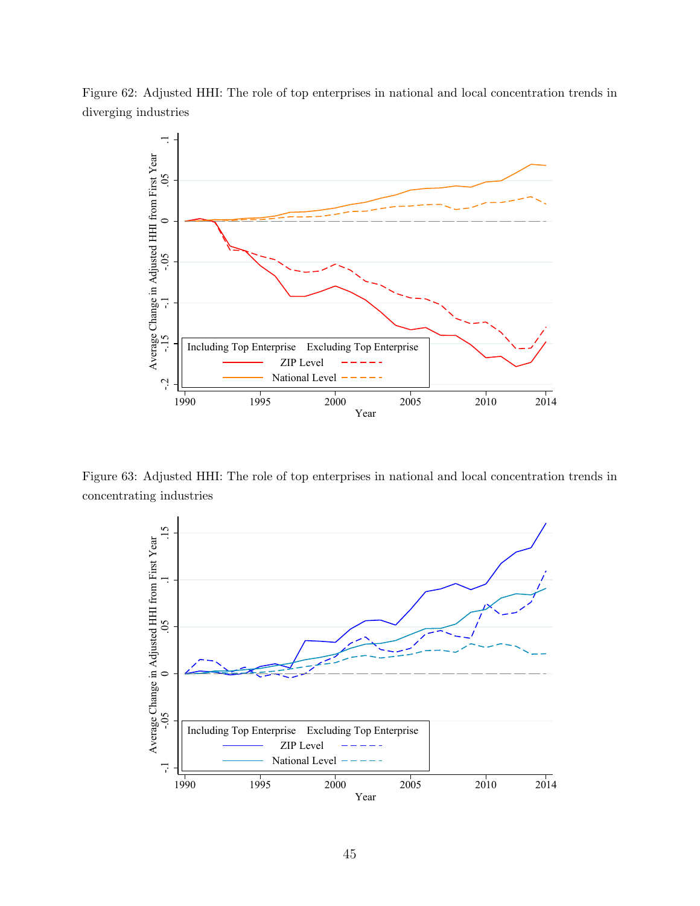Figure 62: Adjusted HHI: The role of top enterprises in national and local concentration trends in diverging industries



Figure 63: Adjusted HHI: The role of top enterprises in national and local concentration trends in concentrating industries

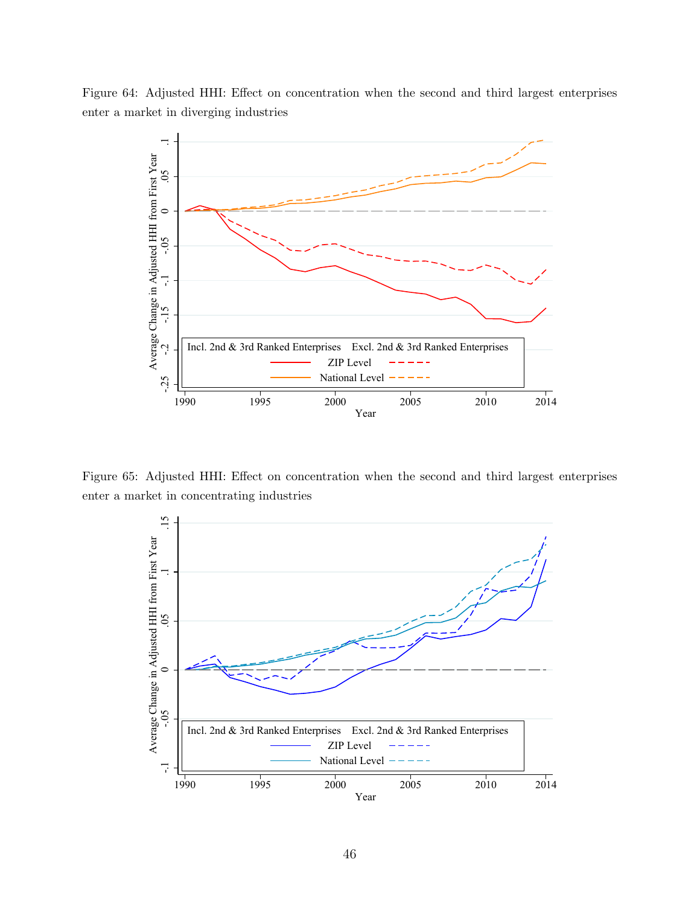



Figure 65: Adjusted HHI: Effect on concentration when the second and third largest enterprises enter a market in concentrating industries

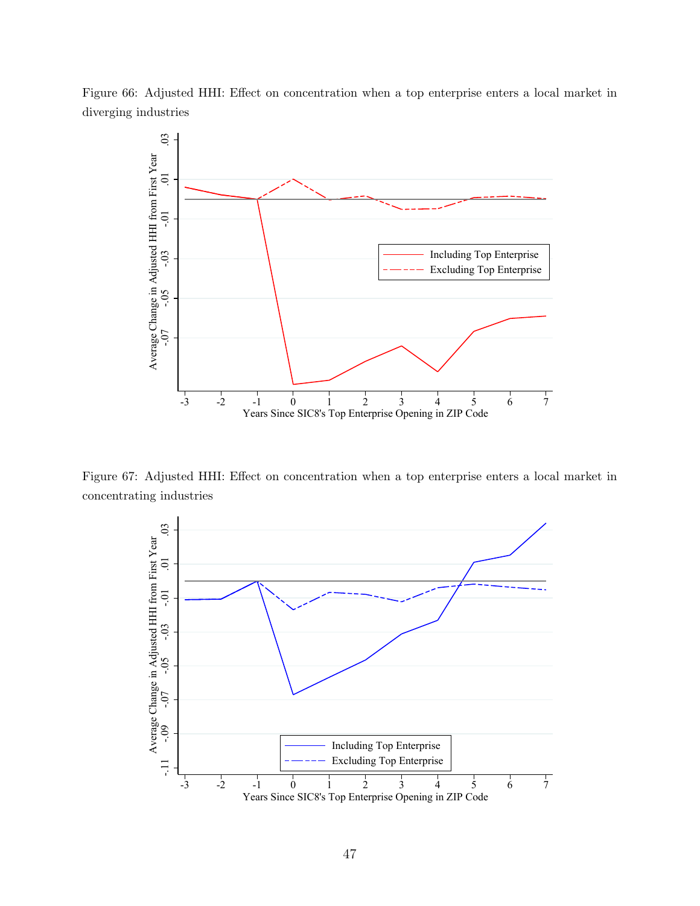Figure 66: Adjusted HHI: Effect on concentration when a top enterprise enters a local market in diverging industries



Figure 67: Adjusted HHI: Effect on concentration when a top enterprise enters a local market in concentrating industries

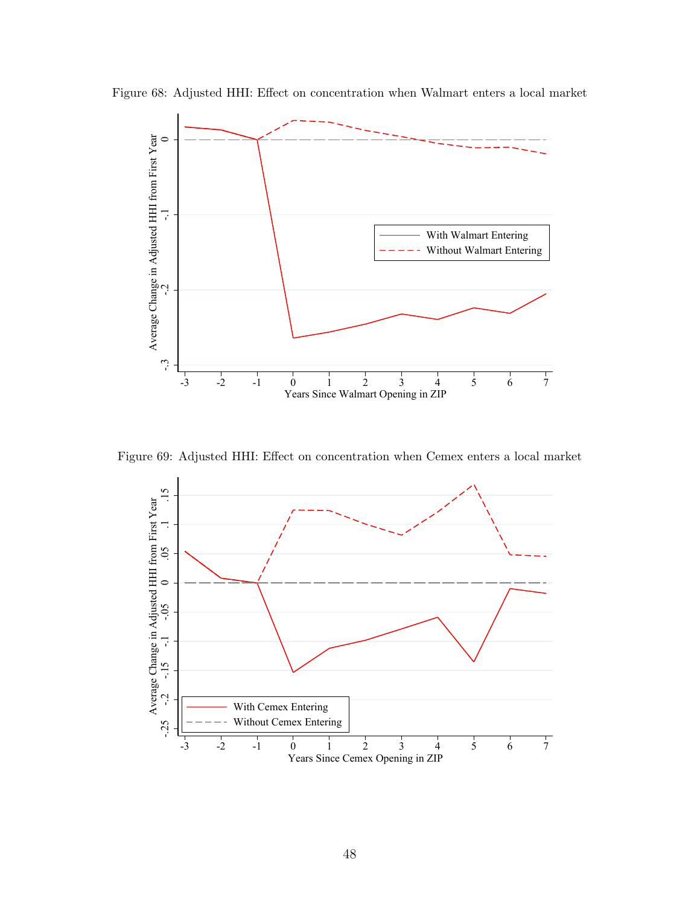

Figure 68: Adjusted HHI: Effect on concentration when Walmart enters a local market

Figure 69: Adjusted HHI: Effect on concentration when Cemex enters a local market

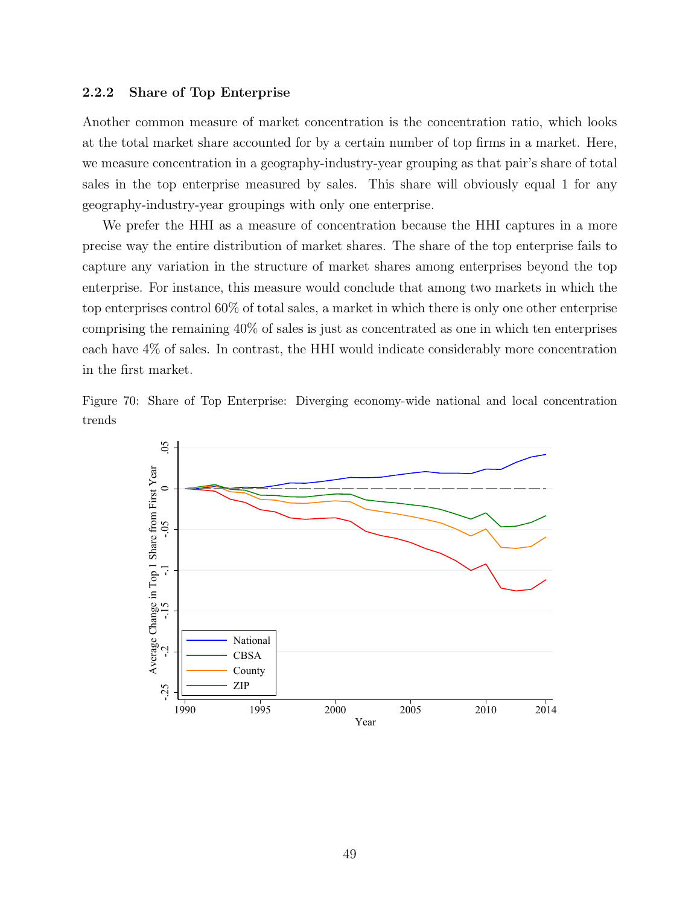#### 2.2.2 Share of Top Enterprise

Another common measure of market concentration is the concentration ratio, which looks at the total market share accounted for by a certain number of top firms in a market. Here, we measure concentration in a geography-industry-year grouping as that pair's share of total sales in the top enterprise measured by sales. This share will obviously equal 1 for any geography-industry-year groupings with only one enterprise.

We prefer the HHI as a measure of concentration because the HHI captures in a more precise way the entire distribution of market shares. The share of the top enterprise fails to capture any variation in the structure of market shares among enterprises beyond the top enterprise. For instance, this measure would conclude that among two markets in which the top enterprises control 60% of total sales, a market in which there is only one other enterprise comprising the remaining 40% of sales is just as concentrated as one in which ten enterprises each have 4% of sales. In contrast, the HHI would indicate considerably more concentration in the first market.

Figure 70: Share of Top Enterprise: Diverging economy-wide national and local concentration trends

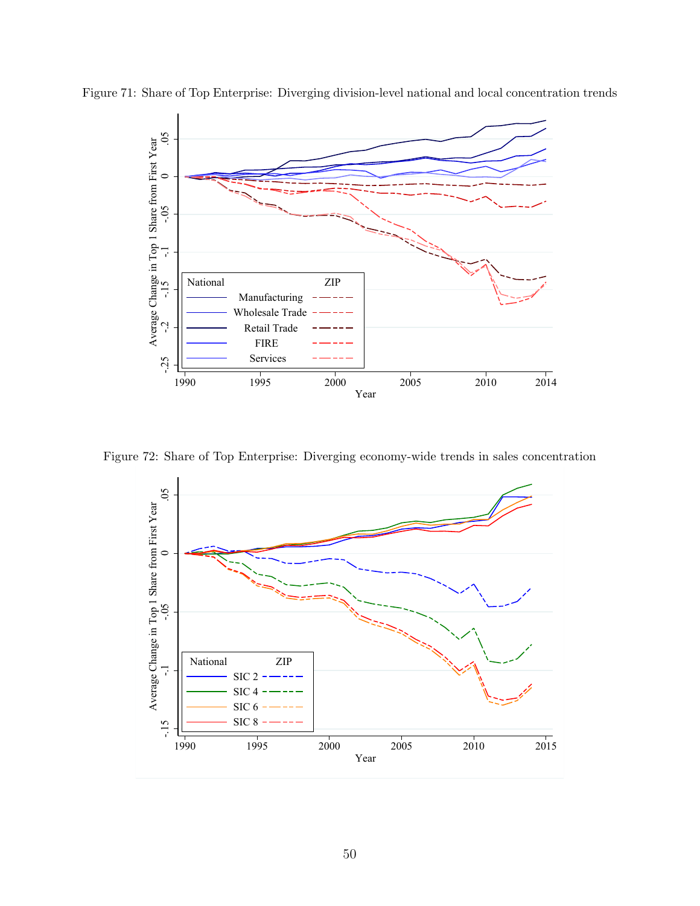

Figure 71: Share of Top Enterprise: Diverging division-level national and local concentration trends

Figure 72: Share of Top Enterprise: Diverging economy-wide trends in sales concentration

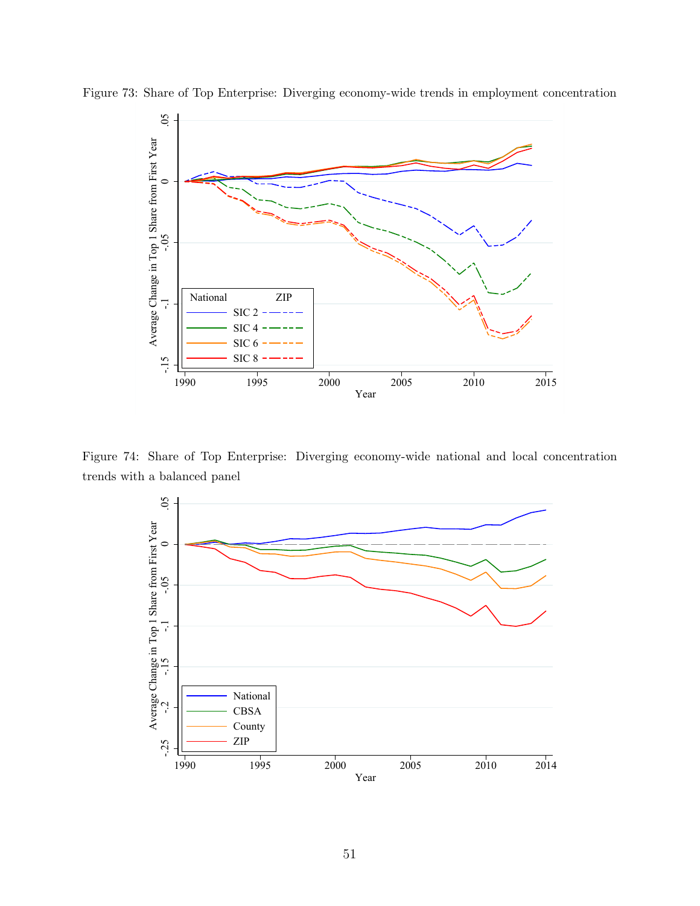

Figure 73: Share of Top Enterprise: Diverging economy-wide trends in employment concentration

Figure 74: Share of Top Enterprise: Diverging economy-wide national and local concentration trends with a balanced panel

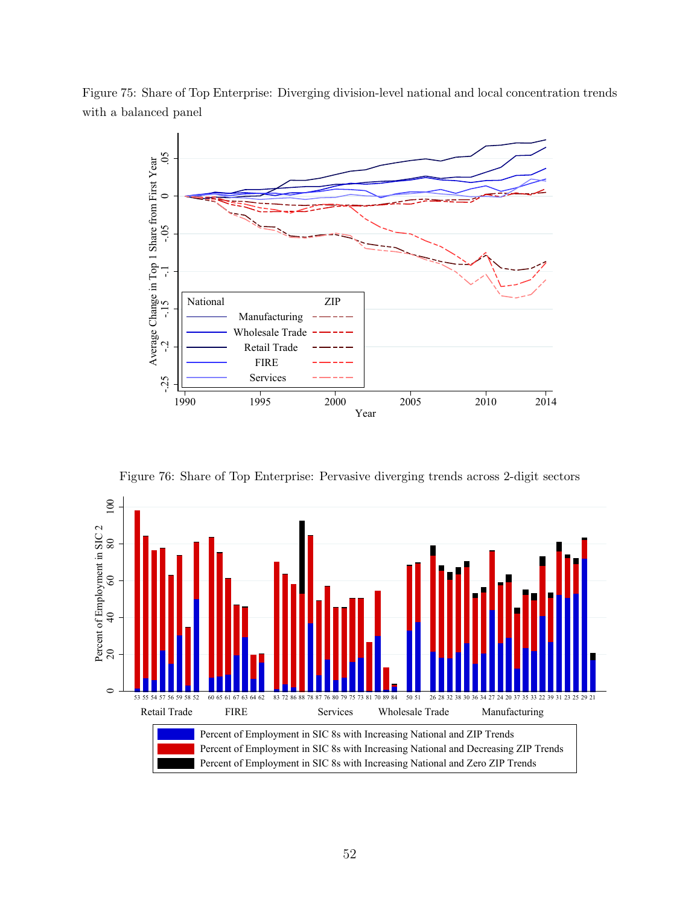Figure 75: Share of Top Enterprise: Diverging division-level national and local concentration trends with a balanced panel



Figure 76: Share of Top Enterprise: Pervasive diverging trends across 2-digit sectors

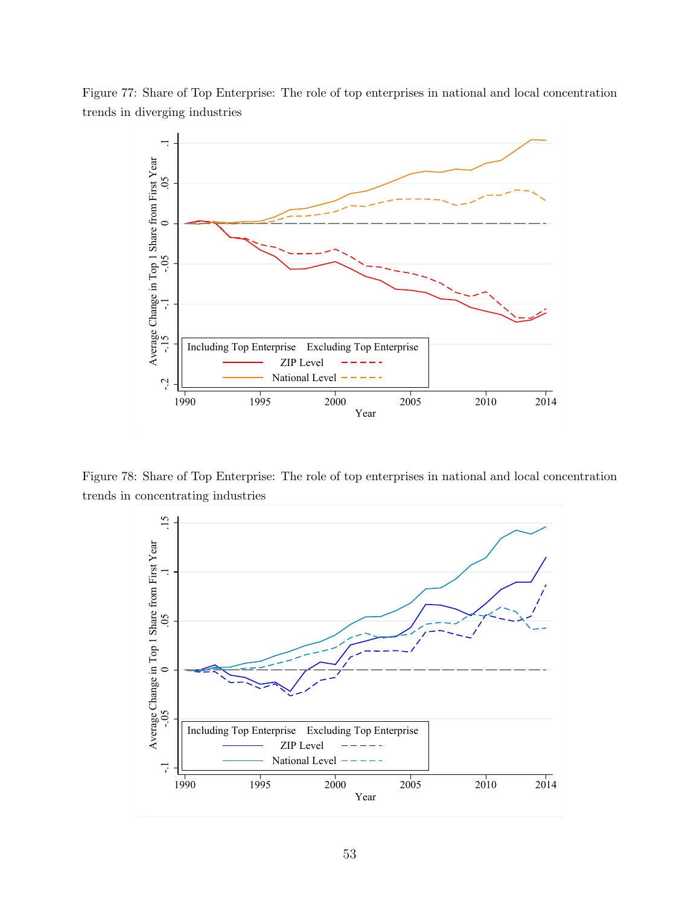

Figure 77: Share of Top Enterprise: The role of top enterprises in national and local concentration trends in diverging industries

Figure 78: Share of Top Enterprise: The role of top enterprises in national and local concentration trends in concentrating industries

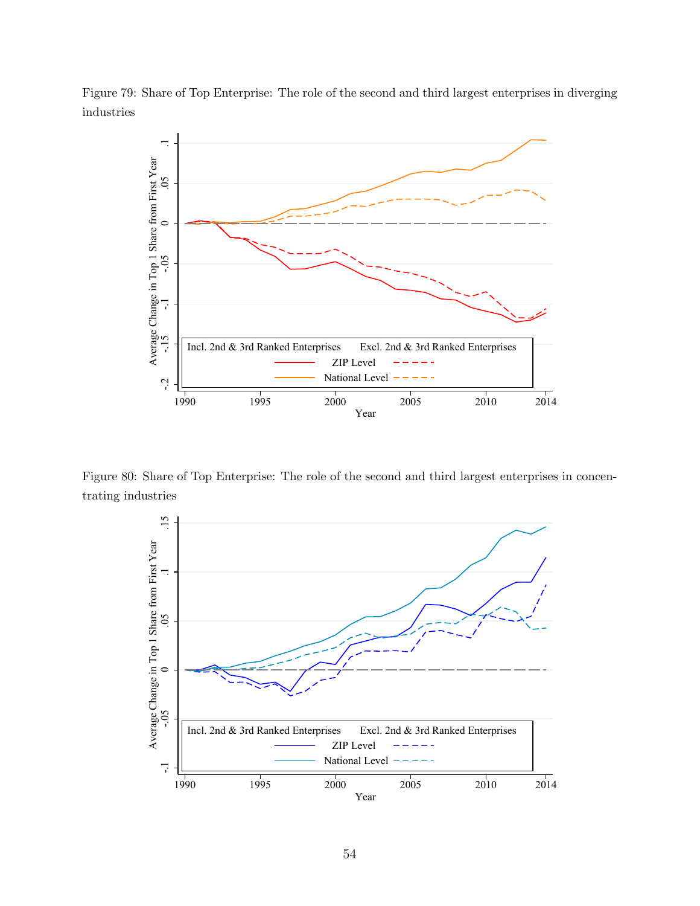Figure 79: Share of Top Enterprise: The role of the second and third largest enterprises in diverging industries



Figure 80: Share of Top Enterprise: The role of the second and third largest enterprises in concentrating industries

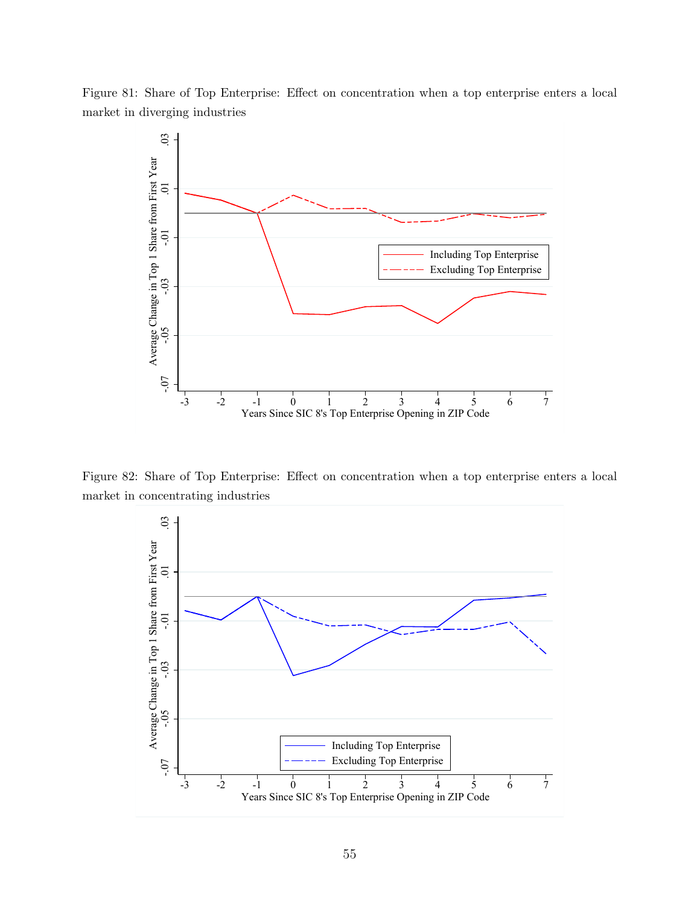Figure 81: Share of Top Enterprise: Effect on concentration when a top enterprise enters a local market in diverging industries



Figure 82: Share of Top Enterprise: Effect on concentration when a top enterprise enters a local market in concentrating industries

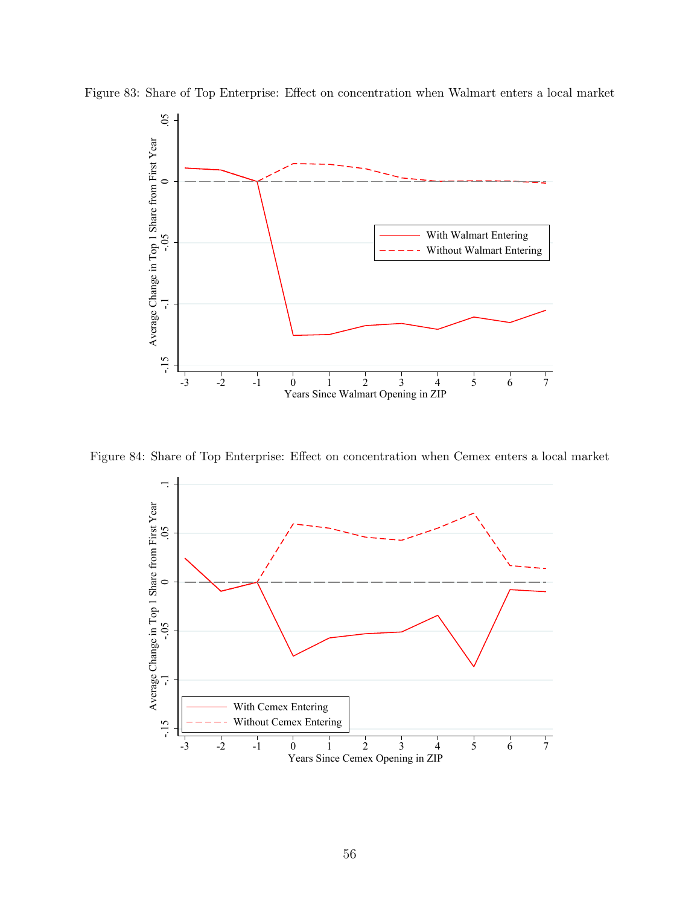

Figure 83: Share of Top Enterprise: Effect on concentration when Walmart enters a local market

Figure 84: Share of Top Enterprise: Effect on concentration when Cemex enters a local market

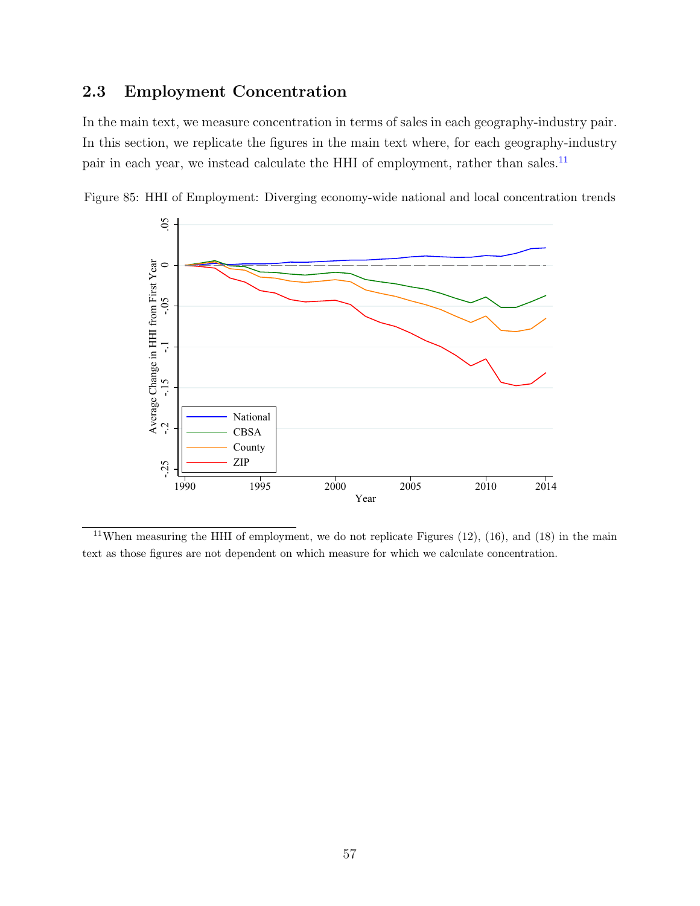# 2.3 Employment Concentration

In the main text, we measure concentration in terms of sales in each geography-industry pair. In this section, we replicate the figures in the main text where, for each geography-industry pair in each year, we instead calculate the HHI of employment, rather than sales.<sup>[11](#page-56-0)</sup>



Figure 85: HHI of Employment: Diverging economy-wide national and local concentration trends

<span id="page-56-0"></span><sup>&</sup>lt;sup>11</sup>When measuring the HHI of employment, we do not replicate Figures  $(12)$ ,  $(16)$ , and  $(18)$  in the main text as those figures are not dependent on which measure for which we calculate concentration.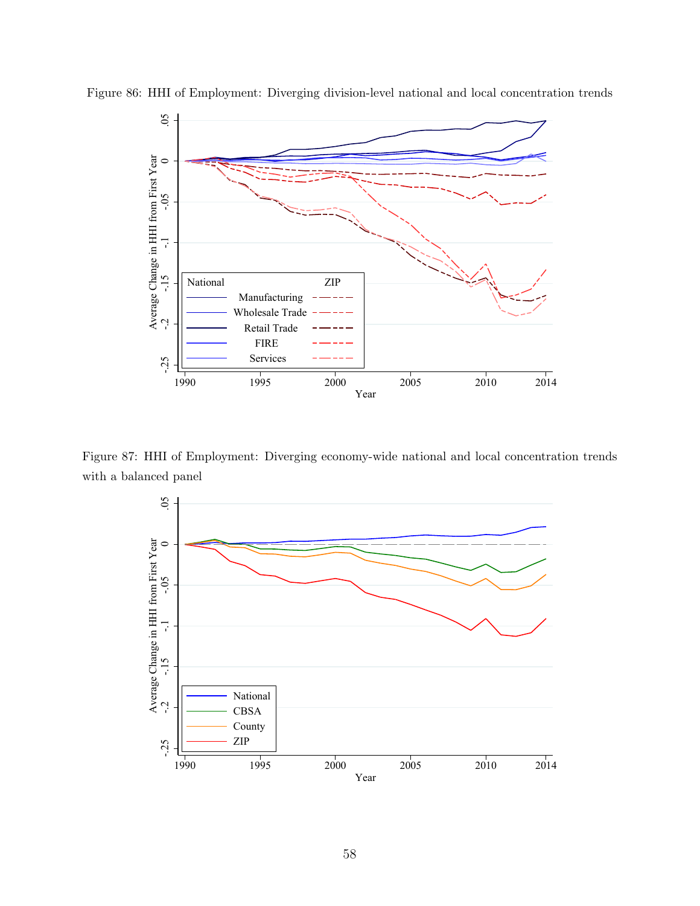

Figure 86: HHI of Employment: Diverging division-level national and local concentration trends

Figure 87: HHI of Employment: Diverging economy-wide national and local concentration trends with a balanced panel

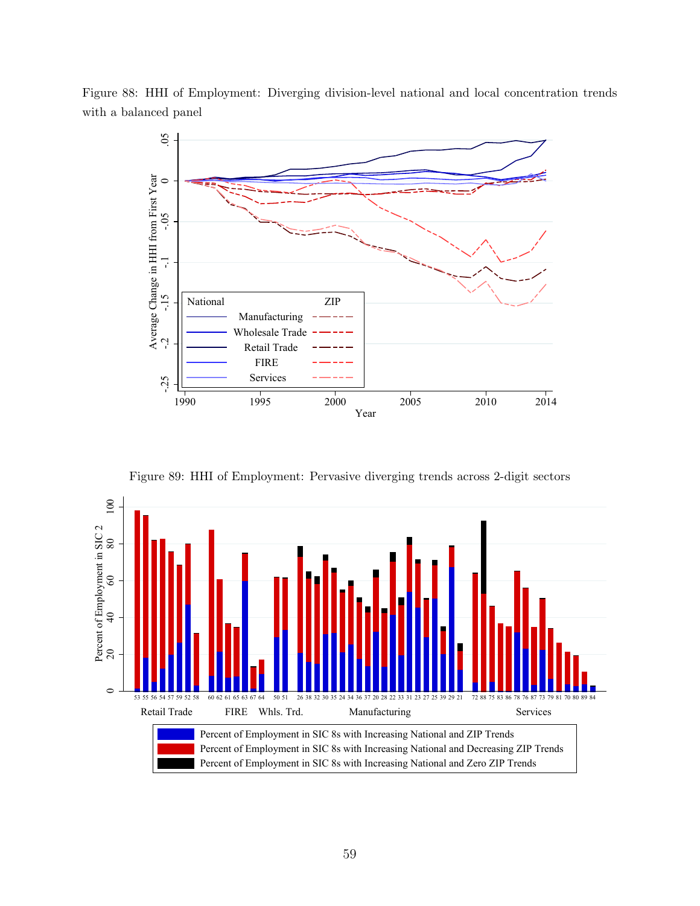Figure 88: HHI of Employment: Diverging division-level national and local concentration trends with a balanced panel



Figure 89: HHI of Employment: Pervasive diverging trends across 2-digit sectors

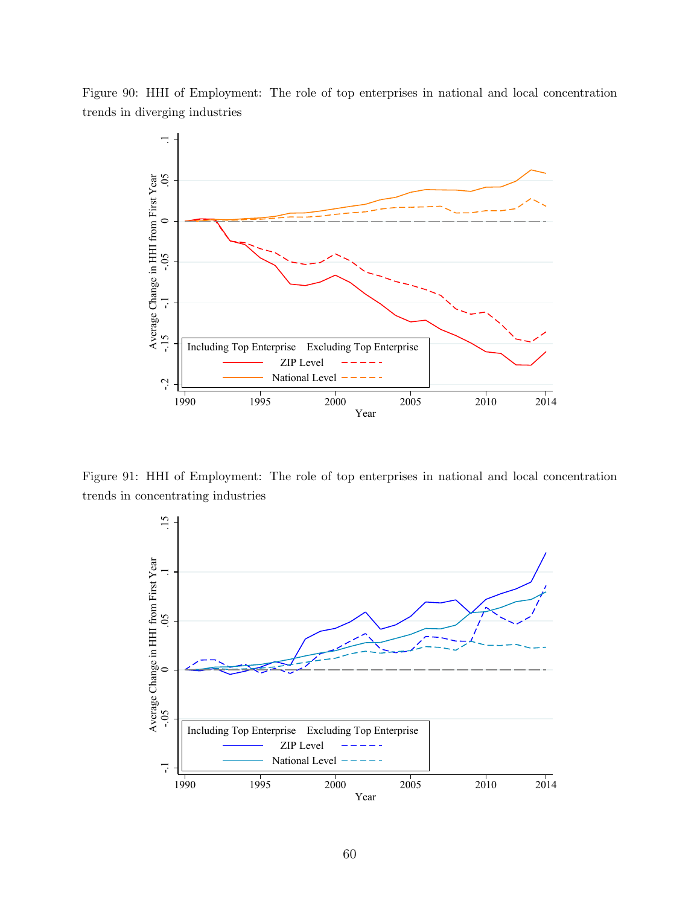Figure 90: HHI of Employment: The role of top enterprises in national and local concentration trends in diverging industries



Figure 91: HHI of Employment: The role of top enterprises in national and local concentration trends in concentrating industries

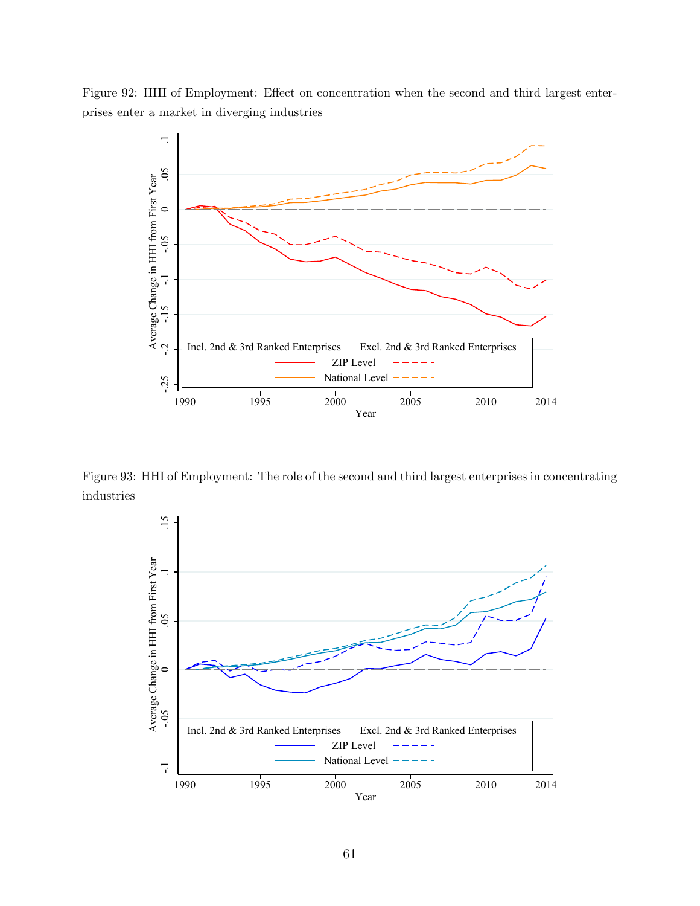Figure 92: HHI of Employment: Effect on concentration when the second and third largest enterprises enter a market in diverging industries



Figure 93: HHI of Employment: The role of the second and third largest enterprises in concentrating industries

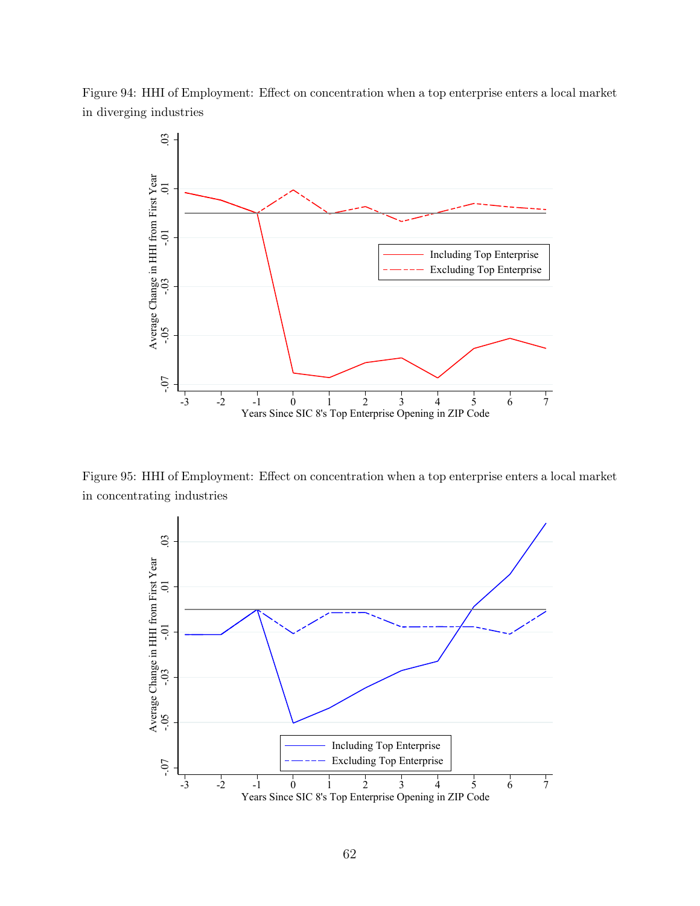Figure 94: HHI of Employment: Effect on concentration when a top enterprise enters a local market in diverging industries



Figure 95: HHI of Employment: Effect on concentration when a top enterprise enters a local market in concentrating industries

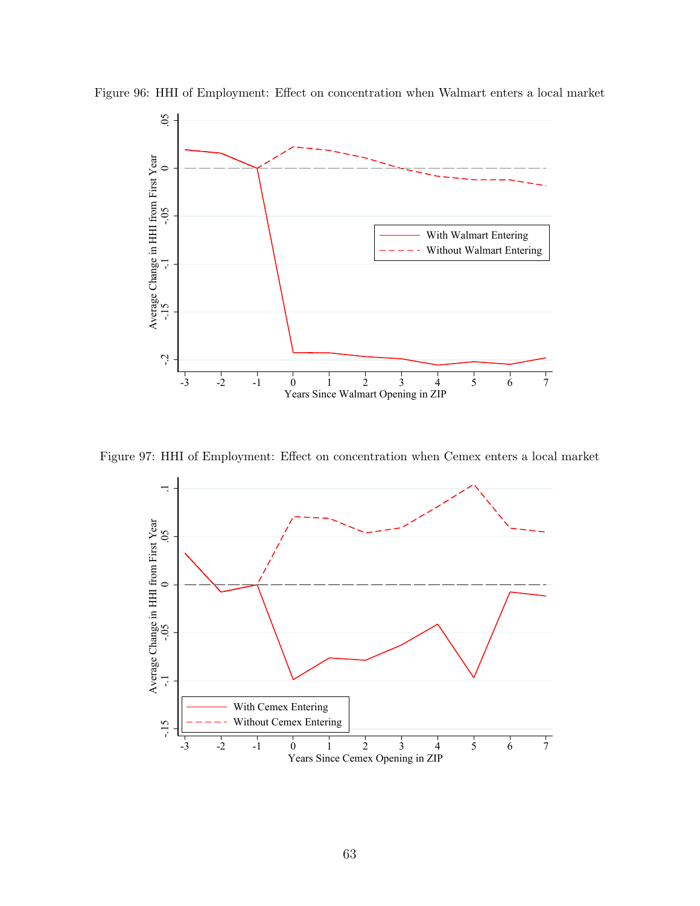

Figure 96: HHI of Employment: Effect on concentration when Walmart enters a local market

Figure 97: HHI of Employment: Effect on concentration when Cemex enters a local market

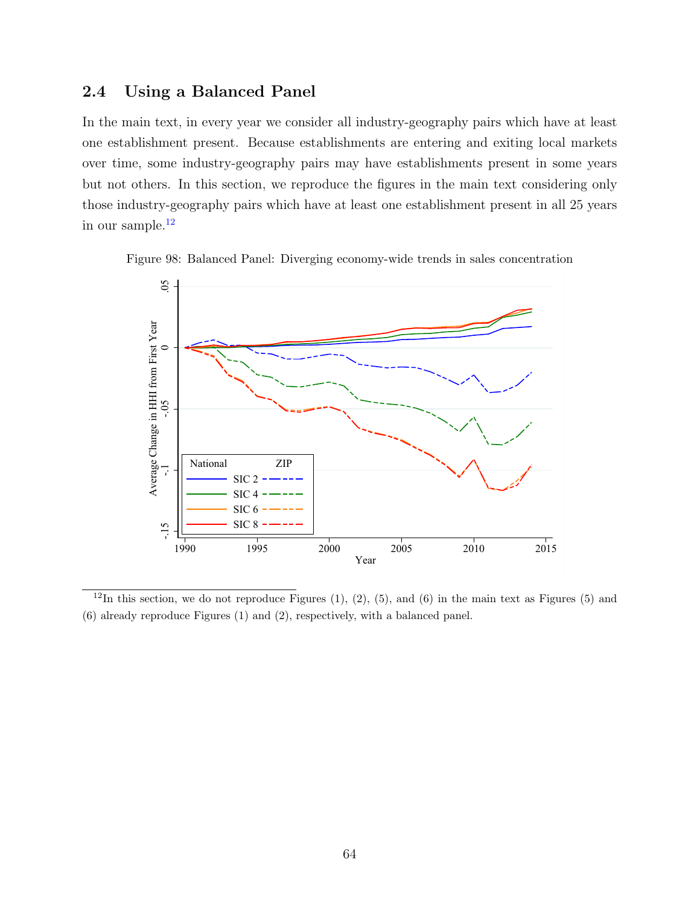## 2.4 Using a Balanced Panel

In the main text, in every year we consider all industry-geography pairs which have at least one establishment present. Because establishments are entering and exiting local markets over time, some industry-geography pairs may have establishments present in some years but not others. In this section, we reproduce the figures in the main text considering only those industry-geography pairs which have at least one establishment present in all 25 years in our sample. $12$ 





<span id="page-63-0"></span> $12$ In this section, we do not reproduce Figures (1), (2), (5), and (6) in the main text as Figures (5) and (6) already reproduce Figures (1) and (2), respectively, with a balanced panel.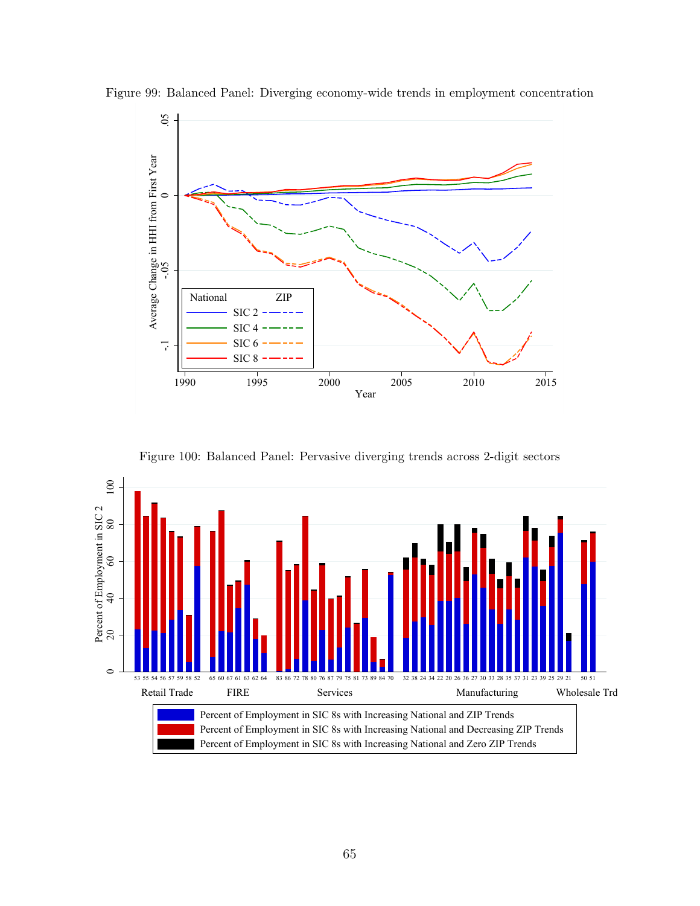

Figure 99: Balanced Panel: Diverging economy-wide trends in employment concentration

Figure 100: Balanced Panel: Pervasive diverging trends across 2-digit sectors

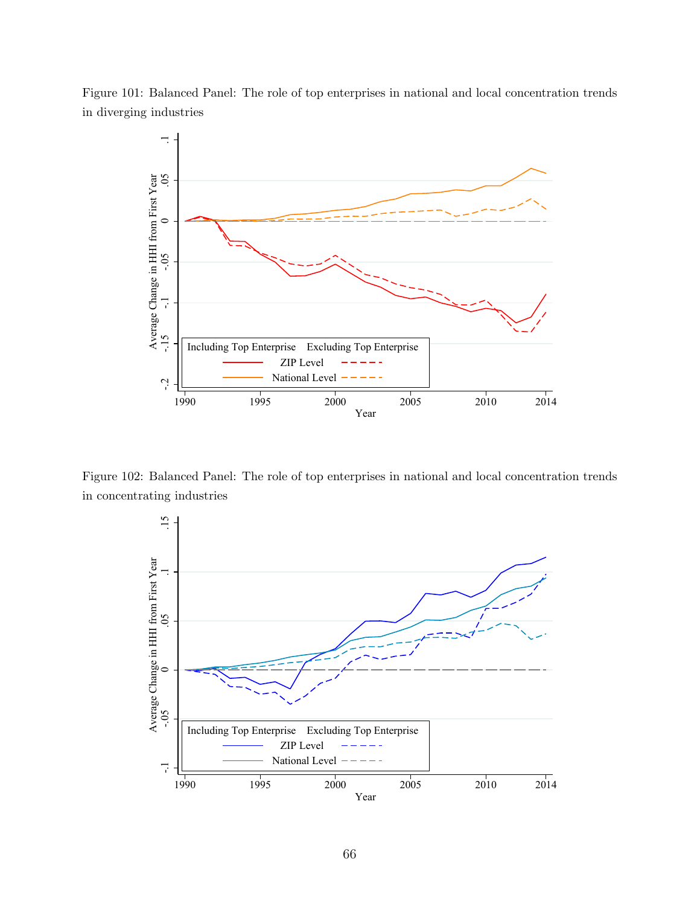Figure 101: Balanced Panel: The role of top enterprises in national and local concentration trends in diverging industries



Figure 102: Balanced Panel: The role of top enterprises in national and local concentration trends in concentrating industries

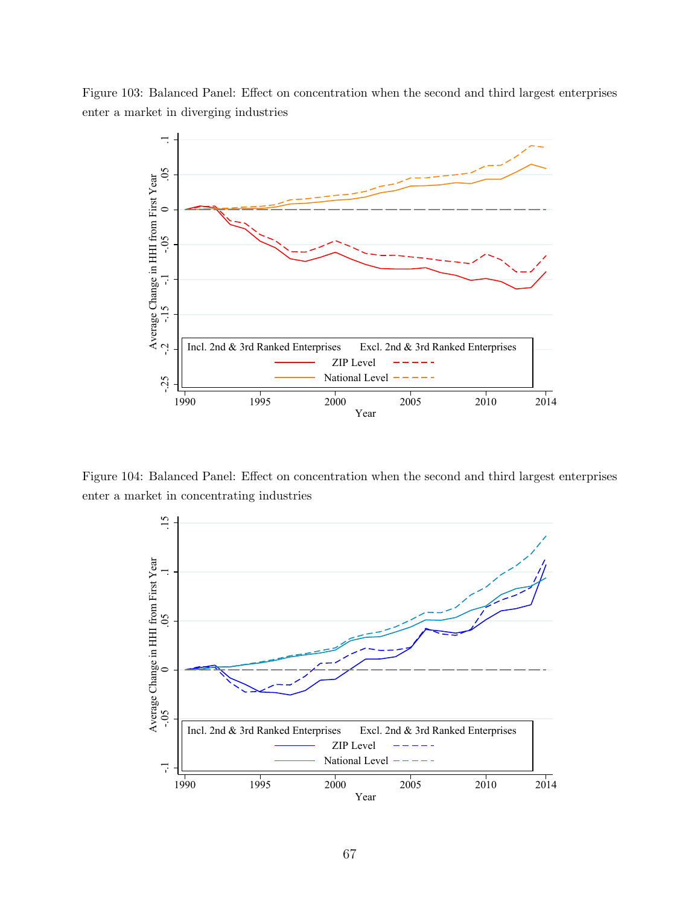Figure 103: Balanced Panel: Effect on concentration when the second and third largest enterprises enter a market in diverging industries



Figure 104: Balanced Panel: Effect on concentration when the second and third largest enterprises enter a market in concentrating industries

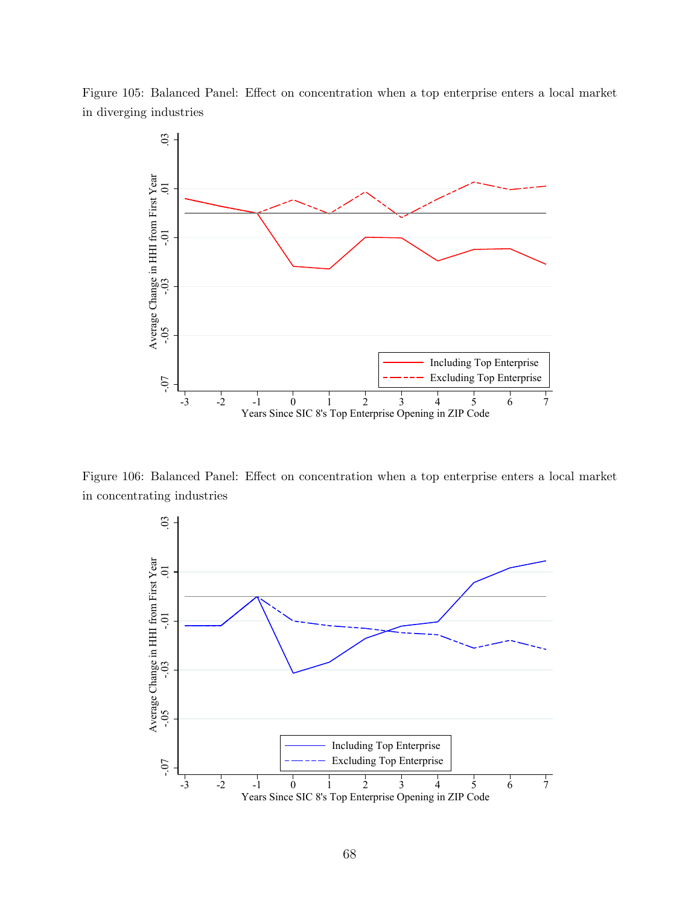



Figure 106: Balanced Panel: Effect on concentration when a top enterprise enters a local market in concentrating industries

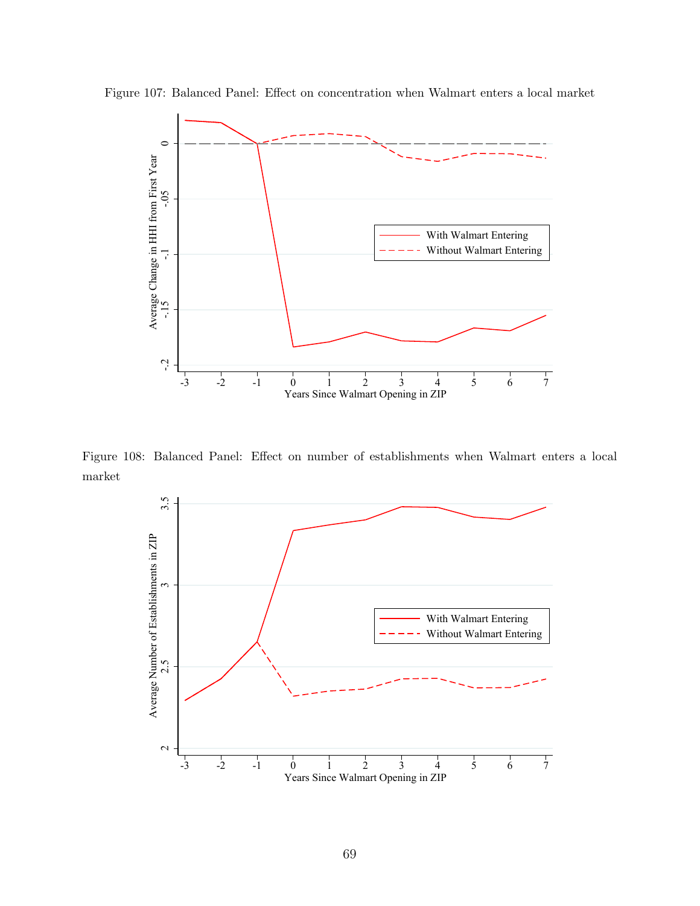

Figure 107: Balanced Panel: Effect on concentration when Walmart enters a local market

Figure 108: Balanced Panel: Effect on number of establishments when Walmart enters a local market

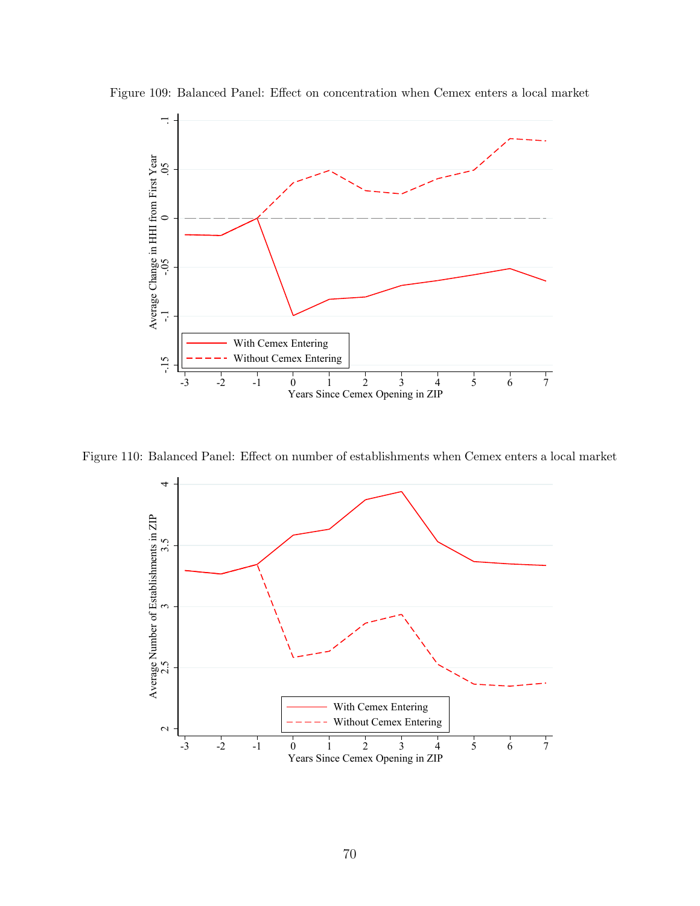

Figure 109: Balanced Panel: Effect on concentration when Cemex enters a local market

Figure 110: Balanced Panel: Effect on number of establishments when Cemex enters a local market

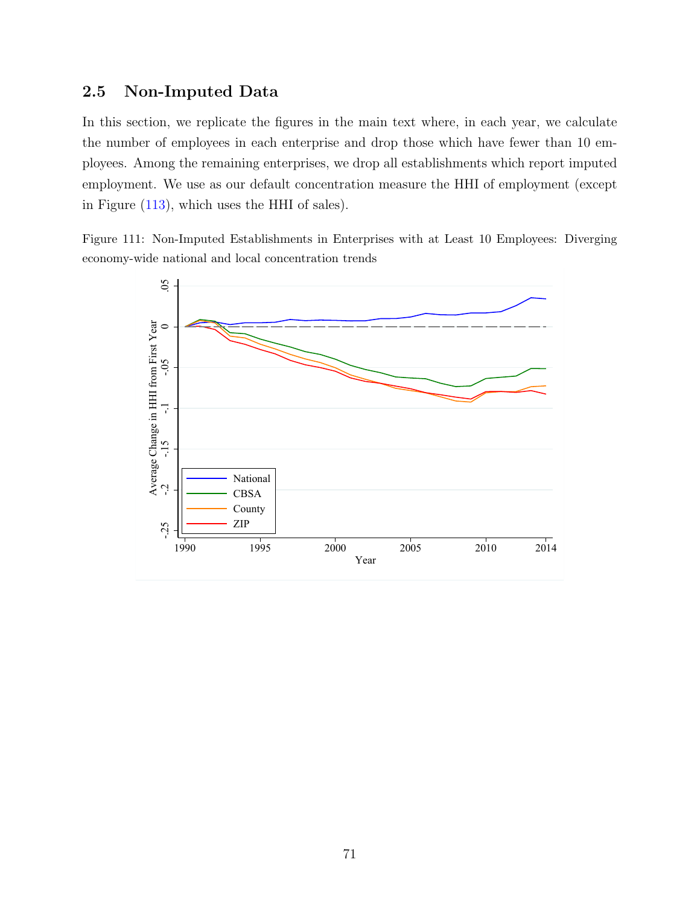## 2.5 Non-Imputed Data

In this section, we replicate the figures in the main text where, in each year, we calculate the number of employees in each enterprise and drop those which have fewer than 10 employees. Among the remaining enterprises, we drop all establishments which report imputed employment. We use as our default concentration measure the HHI of employment (except in Figure [\(113\)](#page-71-0), which uses the HHI of sales).

Figure 111: Non-Imputed Establishments in Enterprises with at Least 10 Employees: Diverging economy-wide national and local concentration trends

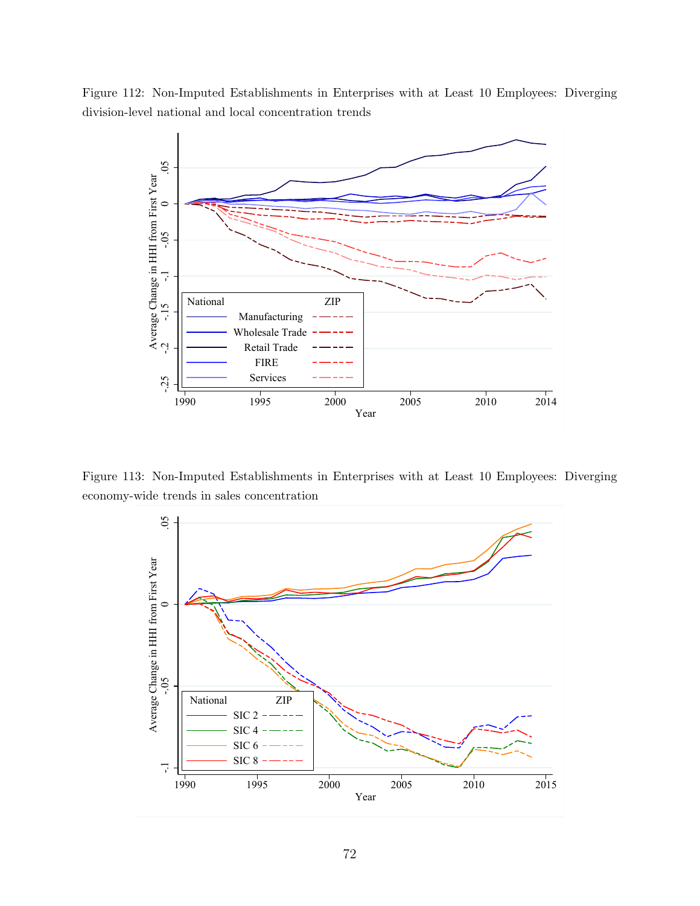Figure 112: Non-Imputed Establishments in Enterprises with at Least 10 Employees: Diverging division-level national and local concentration trends



<span id="page-71-0"></span>Figure 113: Non-Imputed Establishments in Enterprises with at Least 10 Employees: Diverging economy-wide trends in sales concentration

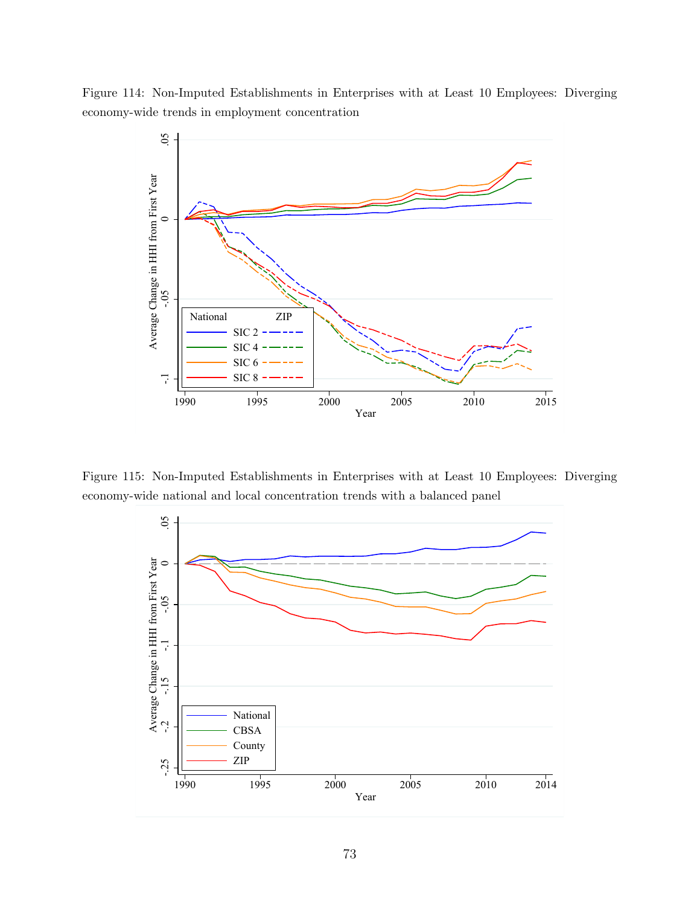Figure 114: Non-Imputed Establishments in Enterprises with at Least 10 Employees: Diverging economy-wide trends in employment concentration



Figure 115: Non-Imputed Establishments in Enterprises with at Least 10 Employees: Diverging economy-wide national and local concentration trends with a balanced panel

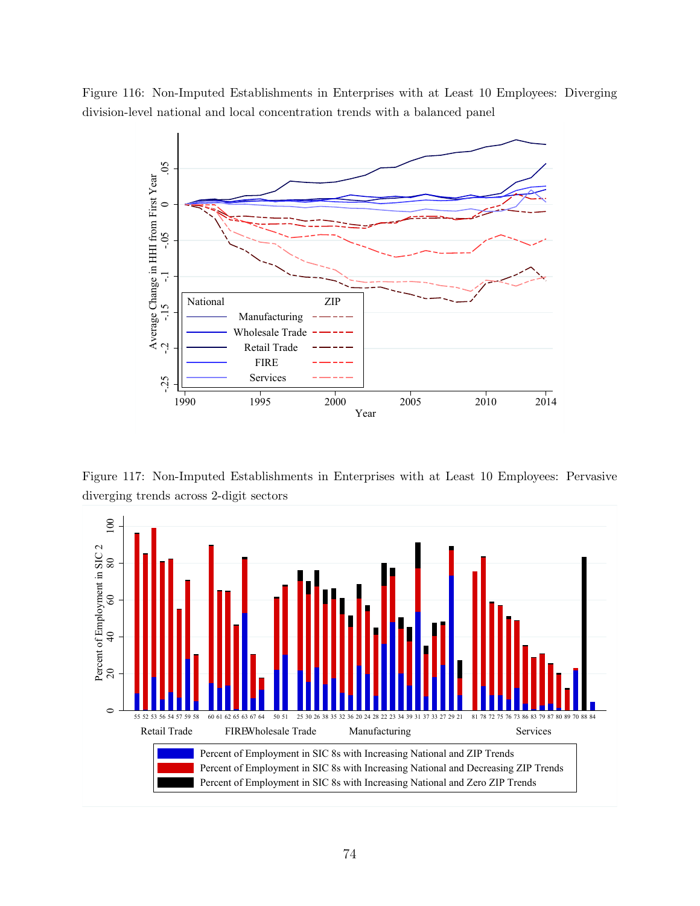



Figure 117: Non-Imputed Establishments in Enterprises with at Least 10 Employees: Pervasive diverging trends across 2-digit sectors

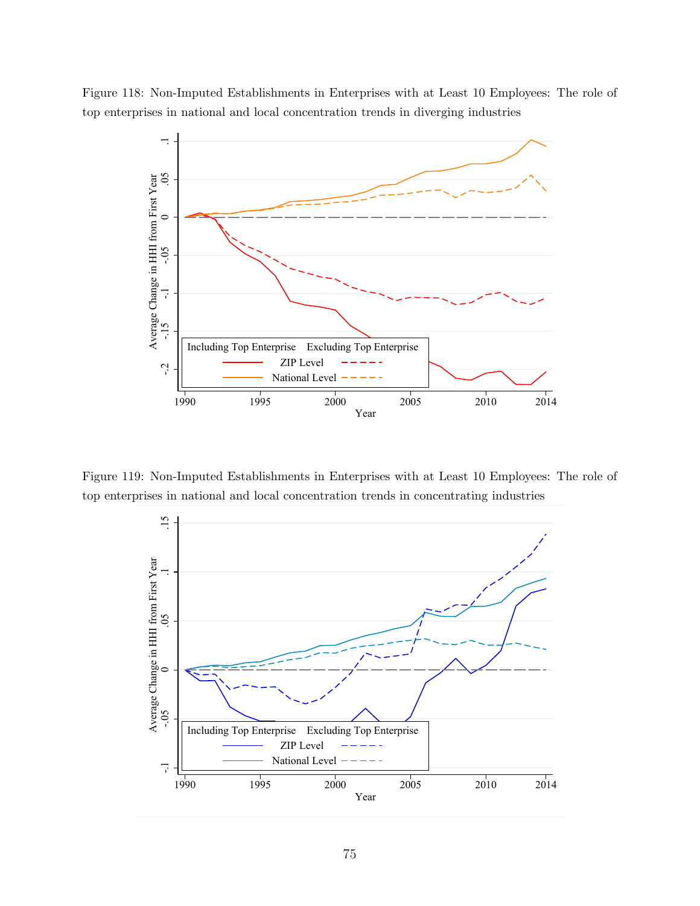

Figure 118: Non-Imputed Establishments in Enterprises with at Least 10 Employees: The role of top enterprises in national and local concentration trends in diverging industries

Figure 119: Non-Imputed Establishments in Enterprises with at Least 10 Employees: The role of top enterprises in national and local concentration trends in concentrating industries

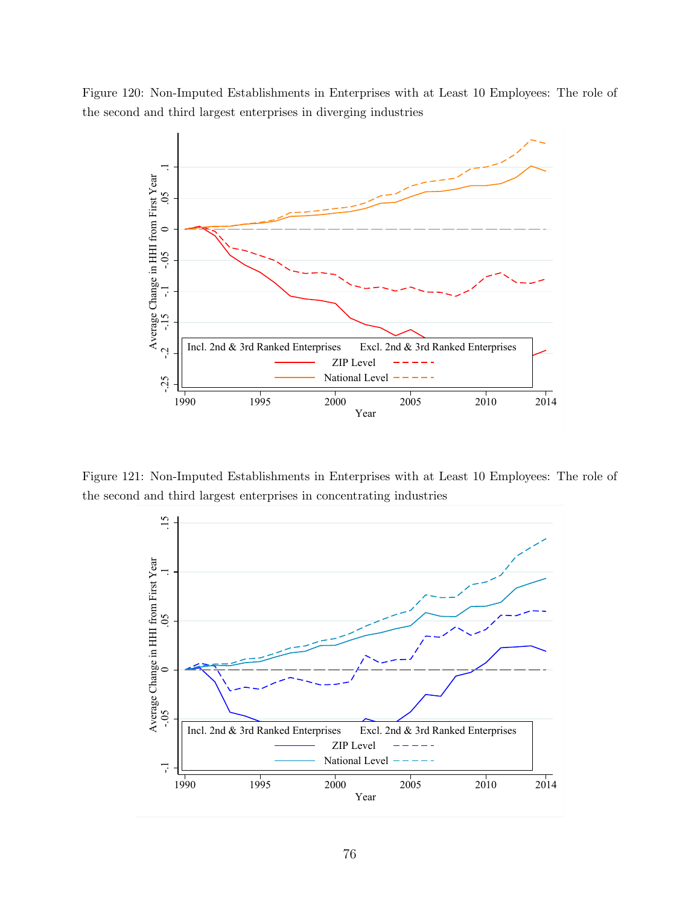Figure 120: Non-Imputed Establishments in Enterprises with at Least 10 Employees: The role of the second and third largest enterprises in diverging industries



Figure 121: Non-Imputed Establishments in Enterprises with at Least 10 Employees: The role of the second and third largest enterprises in concentrating industries

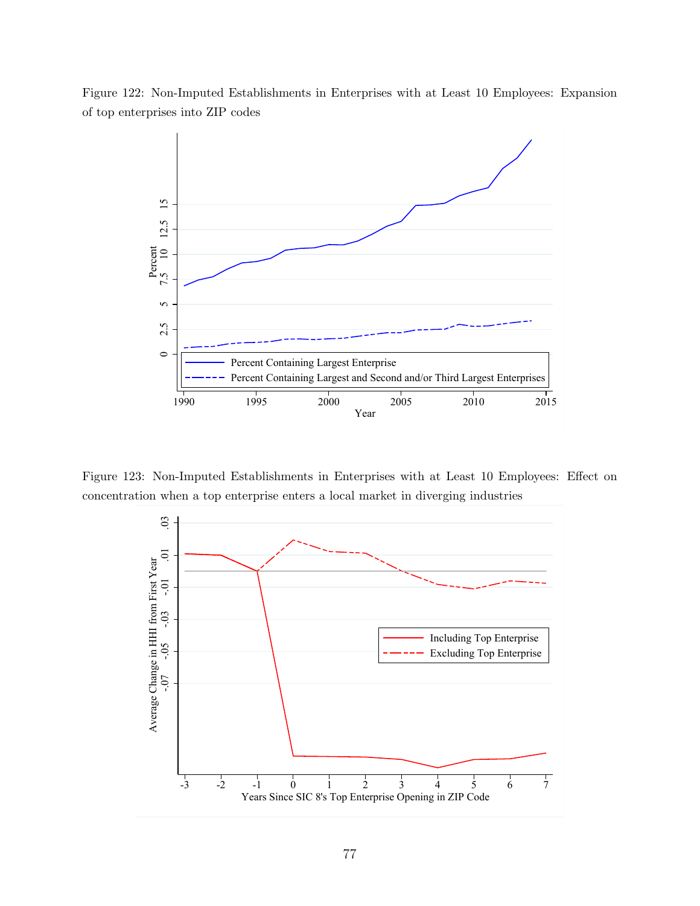



Figure 123: Non-Imputed Establishments in Enterprises with at Least 10 Employees: Effect on concentration when a top enterprise enters a local market in diverging industries

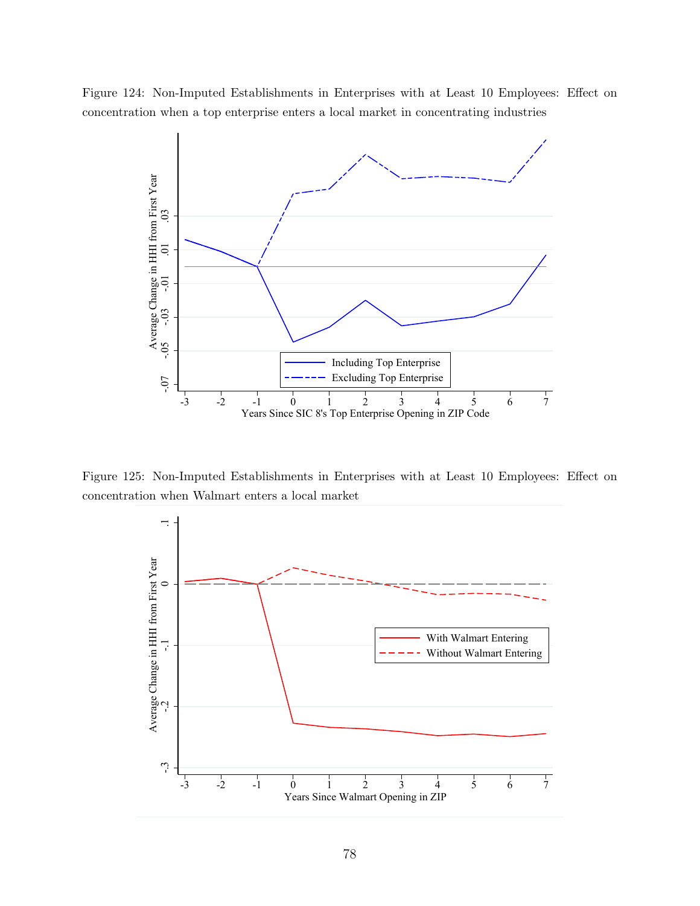Figure 124: Non-Imputed Establishments in Enterprises with at Least 10 Employees: Effect on concentration when a top enterprise enters a local market in concentrating industries



Figure 125: Non-Imputed Establishments in Enterprises with at Least 10 Employees: Effect on concentration when Walmart enters a local market

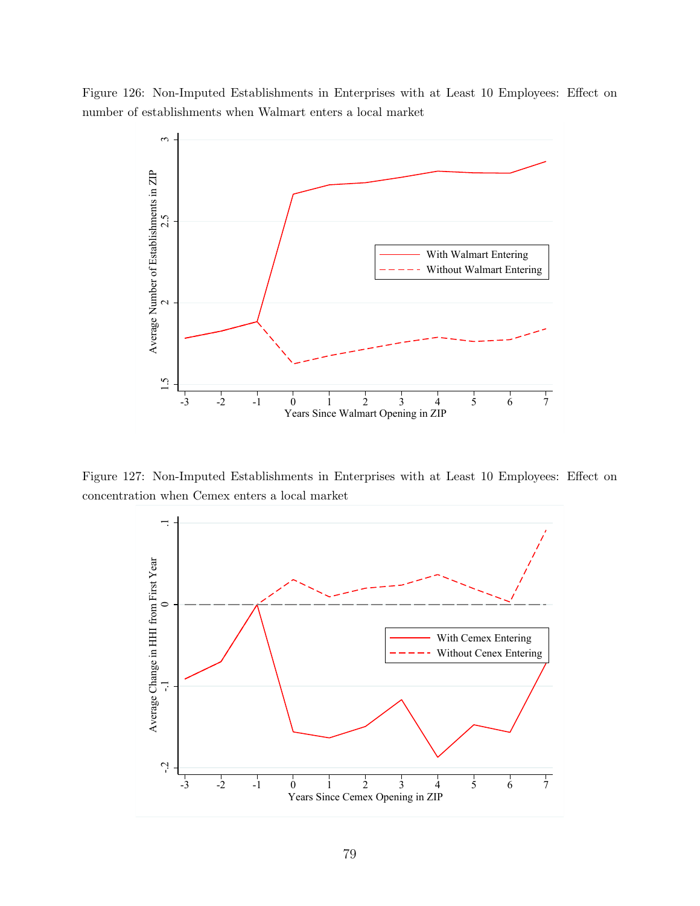Figure 126: Non-Imputed Establishments in Enterprises with at Least 10 Employees: Effect on number of establishments when Walmart enters a local market



Figure 127: Non-Imputed Establishments in Enterprises with at Least 10 Employees: Effect on concentration when Cemex enters a local market

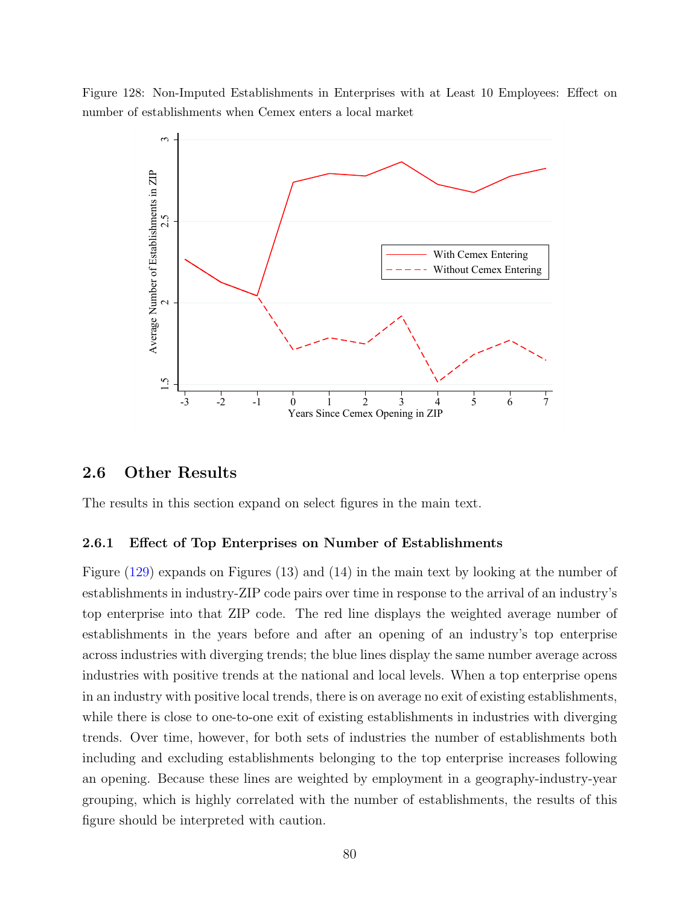Figure 128: Non-Imputed Establishments in Enterprises with at Least 10 Employees: Effect on number of establishments when Cemex enters a local market



## 2.6 Other Results

The results in this section expand on select figures in the main text.

#### 2.6.1 Effect of Top Enterprises on Number of Establishments

Figure [\(129\)](#page-80-0) expands on Figures (13) and (14) in the main text by looking at the number of establishments in industry-ZIP code pairs over time in response to the arrival of an industry's top enterprise into that ZIP code. The red line displays the weighted average number of establishments in the years before and after an opening of an industry's top enterprise across industries with diverging trends; the blue lines display the same number average across industries with positive trends at the national and local levels. When a top enterprise opens in an industry with positive local trends, there is on average no exit of existing establishments, while there is close to one-to-one exit of existing establishments in industries with diverging trends. Over time, however, for both sets of industries the number of establishments both including and excluding establishments belonging to the top enterprise increases following an opening. Because these lines are weighted by employment in a geography-industry-year grouping, which is highly correlated with the number of establishments, the results of this figure should be interpreted with caution.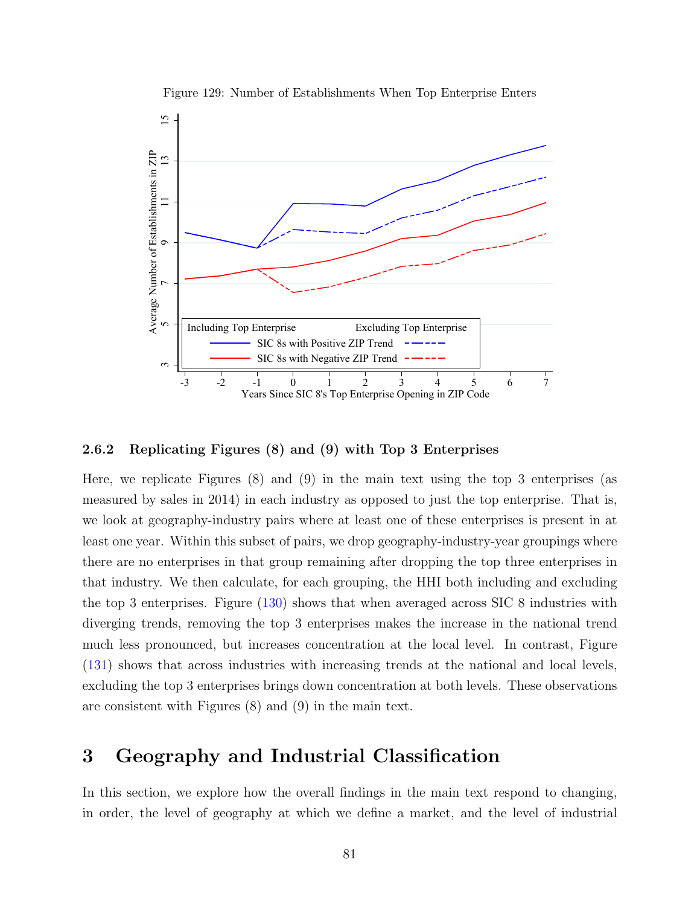<span id="page-80-0"></span>

Figure 129: Number of Establishments When Top Enterprise Enters

### 2.6.2 Replicating Figures (8) and (9) with Top 3 Enterprises

Here, we replicate Figures (8) and (9) in the main text using the top 3 enterprises (as measured by sales in 2014) in each industry as opposed to just the top enterprise. That is, we look at geography-industry pairs where at least one of these enterprises is present in at least one year. Within this subset of pairs, we drop geography-industry-year groupings where there are no enterprises in that group remaining after dropping the top three enterprises in that industry. We then calculate, for each grouping, the HHI both including and excluding the top 3 enterprises. Figure [\(130\)](#page-81-0) shows that when averaged across SIC 8 industries with diverging trends, removing the top 3 enterprises makes the increase in the national trend much less pronounced, but increases concentration at the local level. In contrast, Figure [\(131\)](#page-81-1) shows that across industries with increasing trends at the national and local levels, excluding the top 3 enterprises brings down concentration at both levels. These observations are consistent with Figures (8) and (9) in the main text.

## 3 Geography and Industrial Classification

In this section, we explore how the overall findings in the main text respond to changing, in order, the level of geography at which we define a market, and the level of industrial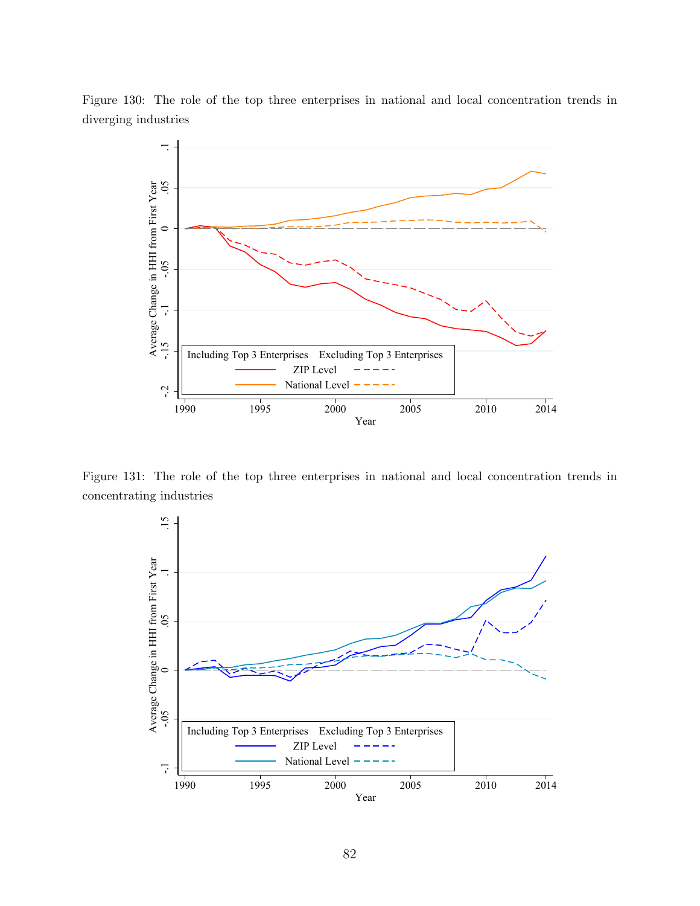<span id="page-81-0"></span>



<span id="page-81-1"></span>Figure 131: The role of the top three enterprises in national and local concentration trends in concentrating industries

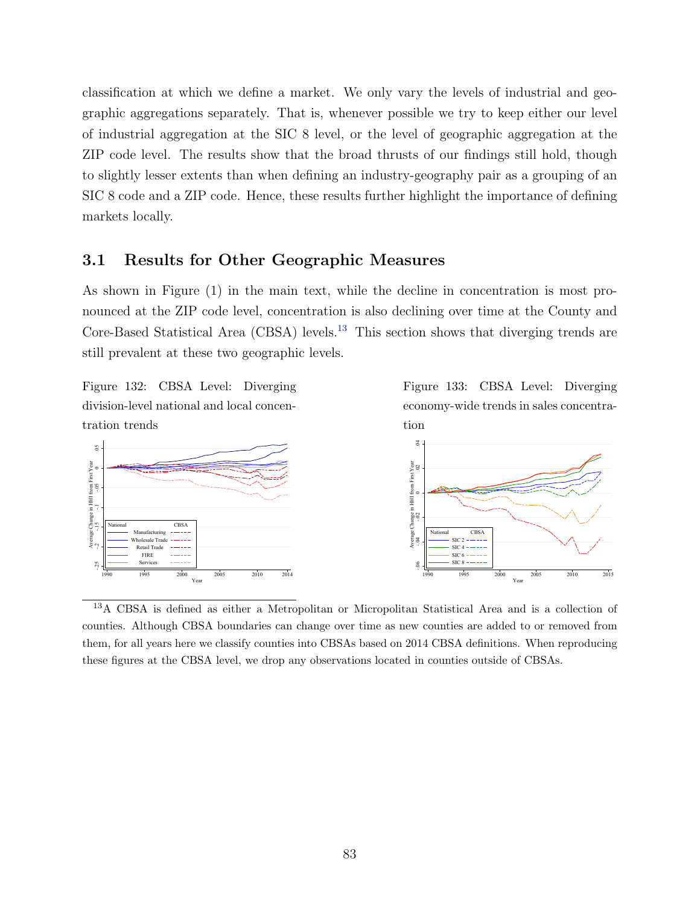classification at which we define a market. We only vary the levels of industrial and geographic aggregations separately. That is, whenever possible we try to keep either our level of industrial aggregation at the SIC 8 level, or the level of geographic aggregation at the ZIP code level. The results show that the broad thrusts of our findings still hold, though to slightly lesser extents than when defining an industry-geography pair as a grouping of an SIC 8 code and a ZIP code. Hence, these results further highlight the importance of defining markets locally.

## 3.1 Results for Other Geographic Measures

As shown in Figure (1) in the main text, while the decline in concentration is most pronounced at the ZIP code level, concentration is also declining over time at the County and Core-Based Statistical Area (CBSA) levels.<sup>[13](#page-82-0)</sup> This section shows that diverging trends are still prevalent at these two geographic levels.

> Figure 133: CBSA Level: Diverging economy-wide trends in sales concentra-

Figure 132: CBSA Level: Diverging division-level national and local concentration trends



tion

<span id="page-82-0"></span><sup>13</sup>A CBSA is defined as either a Metropolitan or Micropolitan Statistical Area and is a collection of counties. Although CBSA boundaries can change over time as new counties are added to or removed from them, for all years here we classify counties into CBSAs based on 2014 CBSA definitions. When reproducing these figures at the CBSA level, we drop any observations located in counties outside of CBSAs.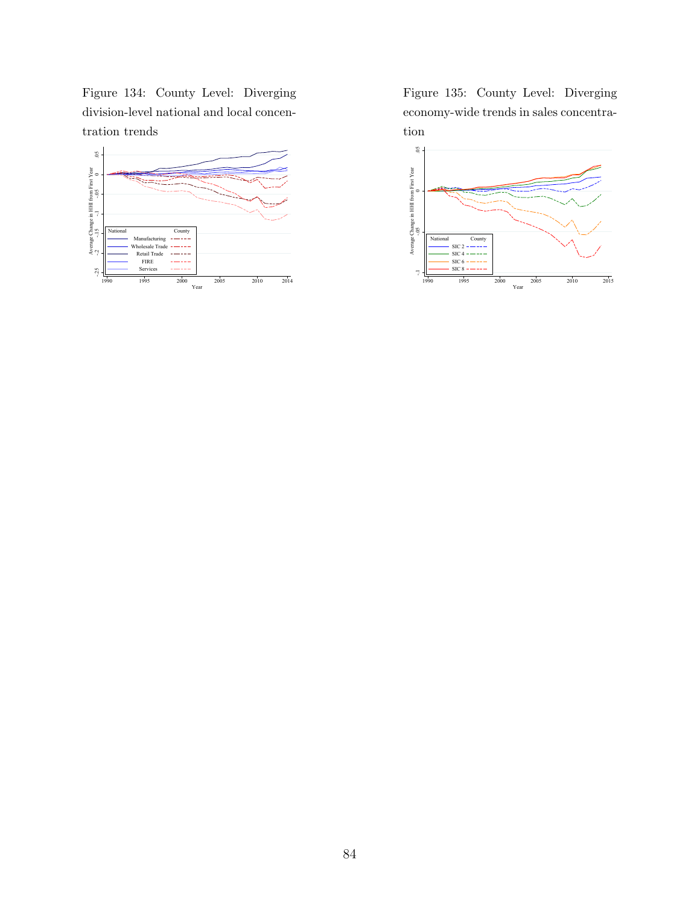Figure 134: County Level: Diverging division-level national and local concentration trends



Figure 135: County Level: Diverging economy-wide trends in sales concentration